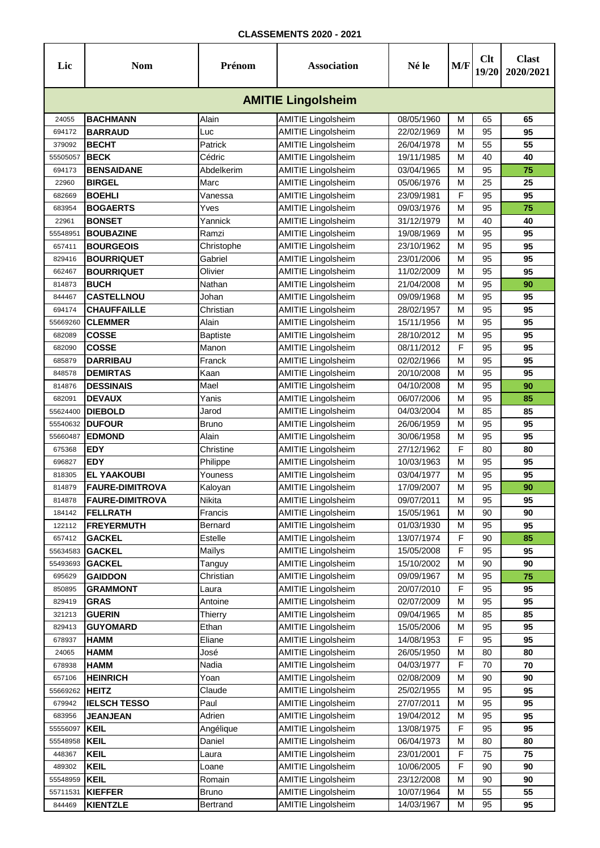| <b>AMITIE Lingolsheim</b><br><b>BACHMANN</b><br>Alain<br>08/05/1960<br><b>AMITIE Lingolsheim</b><br>M<br>65<br>65<br>24055<br>M<br><b>AMITIE Lingolsheim</b><br>22/02/1969<br>95<br>694172<br><b>BARRAUD</b><br>Luc<br>95<br><b>BECHT</b><br><b>AMITIE Lingolsheim</b><br>55<br>Patrick<br>26/04/1978<br>M<br>55<br>379092<br><b>BECK</b><br>Cédric<br><b>AMITIE Lingolsheim</b><br>40<br>55505057<br>19/11/1985<br>M<br>40<br><b>AMITIE Lingolsheim</b><br>95<br><b>BENSAIDANE</b><br>Abdelkerim<br>03/04/1965<br>M<br>75<br>694173<br>25<br><b>AMITIE Lingolsheim</b><br>M<br>25<br><b>BIRGEL</b><br>Marc<br>05/06/1976<br>22960<br>F<br><b>BOEHLI</b><br><b>AMITIE Lingolsheim</b><br>95<br>95<br>682669<br>Vanessa<br>23/09/1981<br><b>AMITIE Lingolsheim</b><br>75<br><b>BOGAERTS</b><br>Yves<br>M<br>95<br>09/03/1976<br>683954<br><b>AMITIE Lingolsheim</b><br>22961<br><b>BONSET</b><br>Yannick<br>31/12/1979<br>M<br>40<br>40<br><b>AMITIE Lingolsheim</b><br>95<br>Ramzi<br>19/08/1969<br>M<br>55548951<br><b>BOUBAZINE</b><br>95<br><b>BOURGEOIS</b><br><b>AMITIE Lingolsheim</b><br>95<br>95<br>Christophe<br>23/10/1962<br>M<br>657411<br><b>AMITIE Lingolsheim</b><br>Gabriel<br>M<br>95<br>829416<br><b>BOURRIQUET</b><br>23/01/2006<br>95<br><b>AMITIE Lingolsheim</b><br><b>BOURRIQUET</b><br>Olivier<br>M<br>95<br>95<br>662467<br>11/02/2009<br><b>AMITIE Lingolsheim</b><br>814873<br><b>BUCH</b><br>Nathan<br>21/04/2008<br>M<br>95<br>90<br><b>AMITIE Lingolsheim</b><br>95<br>Johan<br>M<br>844467<br><b>CASTELLNOU</b><br>09/09/1968<br>95<br><b>CHAUFFAILLE</b><br>M<br>95<br>95<br><b>AMITIE Lingolsheim</b><br>694174<br>Christian<br>28/02/1957<br><b>CLEMMER</b><br><b>AMITIE Lingolsheim</b><br>M<br>95<br>95<br>55669260<br>Alain<br>15/11/1956<br><b>AMITIE Lingolsheim</b><br>M<br>95<br><b>COSSE</b><br>28/10/2012<br>95<br>682089<br><b>Baptiste</b><br>F<br><b>COSSE</b><br>Manon<br><b>AMITIE Lingolsheim</b><br>682090<br>08/11/2012<br>95<br>95<br>Franck<br>M<br>95<br>685879<br><b>DARRIBAU</b><br><b>AMITIE Lingolsheim</b><br>02/02/1966<br>95<br><b>DEMIRTAS</b><br>Kaan<br><b>AMITIE Lingolsheim</b><br>M<br>95<br>95<br>20/10/2008<br>848578<br>Mael<br><b>DESSINAIS</b><br><b>AMITIE Lingolsheim</b><br>04/10/2008<br>M<br>95<br>814876<br>90<br><b>AMITIE Lingolsheim</b><br>Yanis<br>06/07/2006<br>M<br>95<br>682091<br><b>DEVAUX</b><br>85<br><b>AMITIE Lingolsheim</b><br>85<br><b>DIEBOLD</b><br>04/03/2004<br>M<br>85<br>55624400<br>Jarod<br><b>AMITIE Lingolsheim</b><br>95<br><b>Bruno</b><br>M<br>95<br>55540632<br><b>DUFOUR</b><br>26/06/1959<br>Alain<br><b>AMITIE Lingolsheim</b><br>M<br>95<br>95<br><b>EDMOND</b><br>30/06/1958<br>55660487<br>F<br><b>EDY</b><br><b>AMITIE Lingolsheim</b><br>80<br>675368<br>Christine<br>27/12/1962<br>80<br><b>AMITIE Lingolsheim</b><br>10/03/1963<br>M<br>95<br>696827<br><b>EDY</b><br>Philippe<br>95<br><b>AMITIE Lingolsheim</b><br><b>EL YAAKOUBI</b><br>Youness<br>03/04/1977<br>M<br>95<br>95<br>818305<br><b>AMITIE Lingolsheim</b><br>M<br>17/09/2007<br>95<br>814879<br><b>FAURE-DIMITROVA</b><br>Kaloyan<br>90<br>95<br>09/07/2011<br>814878<br><b>FAURE-DIMITROVA</b><br><b>Nikita</b><br><b>AMITIE Lingolsheim</b><br>95<br>M<br><b>AMITIE Lingolsheim</b><br>90<br>184142<br><b>FELLRATH</b><br>15/05/1961<br>M<br>90<br>Francis<br><b>AMITIE Lingolsheim</b><br>01/03/1930<br>95<br>122112<br><b>FREYERMUTH</b><br>Bernard<br>M<br>95<br><b>AMITIE Lingolsheim</b><br>F<br>657412<br><b>GACKEL</b><br>Estelle<br>13/07/1974<br>90<br>85<br><b>AMITIE Lingolsheim</b><br>F<br>55634583<br><b>GACKEL</b><br>Maïlys<br>15/05/2008<br>95<br>95<br><b>AMITIE Lingolsheim</b><br><b>GACKEL</b><br>Tanguy<br>15/10/2002<br>M<br>90<br>90<br>55493693<br><b>GAIDDON</b><br><b>AMITIE Lingolsheim</b><br>09/09/1967<br>95<br>695629<br>Christian<br>M<br>75<br><b>AMITIE Lingolsheim</b><br>F<br>20/07/2010<br>95<br><b>GRAMMONT</b><br>850895<br>Laura<br>95<br><b>AMITIE Lingolsheim</b><br><b>GRAS</b><br>Antoine<br>02/07/2009<br>M<br>95<br>95<br>829419<br><b>AMITIE Lingolsheim</b><br>321213<br><b>GUERIN</b><br>Thierry<br>09/04/1965<br>85<br>85<br>M<br><b>GUYOMARD</b><br><b>AMITIE Lingolsheim</b><br>Ethan<br>15/05/2006<br>95<br>95<br>829413<br>M<br>F<br><b>HAMM</b><br><b>AMITIE Lingolsheim</b><br>95<br>678937<br>Eliane<br>14/08/1953<br>95<br><b>AMITIE Lingolsheim</b><br>HAMM<br>José<br>26/05/1950<br>M<br>80<br>24065<br>80<br><b>AMITIE Lingolsheim</b><br>F<br><b>HAMM</b><br>Nadia<br>04/03/1977<br>70<br>70<br>678938<br>657106<br><b>HEINRICH</b><br><b>AMITIE Lingolsheim</b><br>90<br>90<br>Yoan<br>02/08/2009<br>M<br><b>AMITIE Lingolsheim</b><br>M<br>95<br>55669262<br><b>HEITZ</b><br>Claude<br>25/02/1955<br>95<br>Paul<br><b>AMITIE Lingolsheim</b><br>95<br><b>IELSCH TESSO</b><br>27/07/2011<br>M<br>95<br>679942<br><b>AMITIE Lingolsheim</b><br>Adrien<br>19/04/2012<br>M<br>95<br>683956<br><b>JEANJEAN</b><br>95<br><b>AMITIE Lingolsheim</b><br>F<br>55556097<br><b>KEIL</b><br>Angélique<br>13/08/1975<br>95<br>95<br>55548958<br><b>KEIL</b><br>Daniel<br><b>AMITIE Lingolsheim</b><br>06/04/1973<br>80<br>M<br>80<br>F<br><b>KEIL</b><br><b>AMITIE Lingolsheim</b><br>23/01/2001<br>75<br>75<br>448367<br>Laura<br>F<br><b>KEIL</b><br><b>AMITIE Lingolsheim</b><br>10/06/2005<br>90<br>90<br>489302<br>Loane<br><b>KEIL</b><br><b>AMITIE Lingolsheim</b><br>23/12/2008<br>M<br>90<br>55548959<br>Romain<br>90 | Lic | <b>Nom</b> | Prénom | <b>Association</b> | Né le | M/F | Clt<br>19/20 | <b>Clast</b><br>2020/2021 |  |  |  |  |  |
|----------------------------------------------------------------------------------------------------------------------------------------------------------------------------------------------------------------------------------------------------------------------------------------------------------------------------------------------------------------------------------------------------------------------------------------------------------------------------------------------------------------------------------------------------------------------------------------------------------------------------------------------------------------------------------------------------------------------------------------------------------------------------------------------------------------------------------------------------------------------------------------------------------------------------------------------------------------------------------------------------------------------------------------------------------------------------------------------------------------------------------------------------------------------------------------------------------------------------------------------------------------------------------------------------------------------------------------------------------------------------------------------------------------------------------------------------------------------------------------------------------------------------------------------------------------------------------------------------------------------------------------------------------------------------------------------------------------------------------------------------------------------------------------------------------------------------------------------------------------------------------------------------------------------------------------------------------------------------------------------------------------------------------------------------------------------------------------------------------------------------------------------------------------------------------------------------------------------------------------------------------------------------------------------------------------------------------------------------------------------------------------------------------------------------------------------------------------------------------------------------------------------------------------------------------------------------------------------------------------------------------------------------------------------------------------------------------------------------------------------------------------------------------------------------------------------------------------------------------------------------------------------------------------------------------------------------------------------------------------------------------------------------------------------------------------------------------------------------------------------------------------------------------------------------------------------------------------------------------------------------------------------------------------------------------------------------------------------------------------------------------------------------------------------------------------------------------------------------------------------------------------------------------------------------------------------------------------------------------------------------------------------------------------------------------------------------------------------------------------------------------------------------------------------------------------------------------------------------------------------------------------------------------------------------------------------------------------------------------------------------------------------------------------------------------------------------------------------------------------------------------------------------------------------------------------------------------------------------------------------------------------------------------------------------------------------------------------------------------------------------------------------------------------------------------------------------------------------------------------------------------------------------------------------------------------------------------------------------------------------------------------------------------------------------------------------------------------------------------------------------------------------------------------------------------------------------------------------------------------------------------------------------------------------------------------------------------------------------------------------------------------------------------------------------------------------------------------------------------------------------------------------------------------------------------------------------------------------------------------------------------------------------------------------------------------------------------------------------------------------------------------------------------------------------------------------------------------------------|-----|------------|--------|--------------------|-------|-----|--------------|---------------------------|--|--|--|--|--|
|                                                                                                                                                                                                                                                                                                                                                                                                                                                                                                                                                                                                                                                                                                                                                                                                                                                                                                                                                                                                                                                                                                                                                                                                                                                                                                                                                                                                                                                                                                                                                                                                                                                                                                                                                                                                                                                                                                                                                                                                                                                                                                                                                                                                                                                                                                                                                                                                                                                                                                                                                                                                                                                                                                                                                                                                                                                                                                                                                                                                                                                                                                                                                                                                                                                                                                                                                                                                                                                                                                                                                                                                                                                                                                                                                                                                                                                                                                                                                                                                                                                                                                                                                                                                                                                                                                                                                                                                                                                                                                                                                                                                                                                                                                                                                                                                                                                                                                                                                                                                                                                                                                                                                                                                                                                                                                                                                                                                                                                                            |     |            |        |                    |       |     |              |                           |  |  |  |  |  |
|                                                                                                                                                                                                                                                                                                                                                                                                                                                                                                                                                                                                                                                                                                                                                                                                                                                                                                                                                                                                                                                                                                                                                                                                                                                                                                                                                                                                                                                                                                                                                                                                                                                                                                                                                                                                                                                                                                                                                                                                                                                                                                                                                                                                                                                                                                                                                                                                                                                                                                                                                                                                                                                                                                                                                                                                                                                                                                                                                                                                                                                                                                                                                                                                                                                                                                                                                                                                                                                                                                                                                                                                                                                                                                                                                                                                                                                                                                                                                                                                                                                                                                                                                                                                                                                                                                                                                                                                                                                                                                                                                                                                                                                                                                                                                                                                                                                                                                                                                                                                                                                                                                                                                                                                                                                                                                                                                                                                                                                                            |     |            |        |                    |       |     |              |                           |  |  |  |  |  |
|                                                                                                                                                                                                                                                                                                                                                                                                                                                                                                                                                                                                                                                                                                                                                                                                                                                                                                                                                                                                                                                                                                                                                                                                                                                                                                                                                                                                                                                                                                                                                                                                                                                                                                                                                                                                                                                                                                                                                                                                                                                                                                                                                                                                                                                                                                                                                                                                                                                                                                                                                                                                                                                                                                                                                                                                                                                                                                                                                                                                                                                                                                                                                                                                                                                                                                                                                                                                                                                                                                                                                                                                                                                                                                                                                                                                                                                                                                                                                                                                                                                                                                                                                                                                                                                                                                                                                                                                                                                                                                                                                                                                                                                                                                                                                                                                                                                                                                                                                                                                                                                                                                                                                                                                                                                                                                                                                                                                                                                                            |     |            |        |                    |       |     |              |                           |  |  |  |  |  |
|                                                                                                                                                                                                                                                                                                                                                                                                                                                                                                                                                                                                                                                                                                                                                                                                                                                                                                                                                                                                                                                                                                                                                                                                                                                                                                                                                                                                                                                                                                                                                                                                                                                                                                                                                                                                                                                                                                                                                                                                                                                                                                                                                                                                                                                                                                                                                                                                                                                                                                                                                                                                                                                                                                                                                                                                                                                                                                                                                                                                                                                                                                                                                                                                                                                                                                                                                                                                                                                                                                                                                                                                                                                                                                                                                                                                                                                                                                                                                                                                                                                                                                                                                                                                                                                                                                                                                                                                                                                                                                                                                                                                                                                                                                                                                                                                                                                                                                                                                                                                                                                                                                                                                                                                                                                                                                                                                                                                                                                                            |     |            |        |                    |       |     |              |                           |  |  |  |  |  |
|                                                                                                                                                                                                                                                                                                                                                                                                                                                                                                                                                                                                                                                                                                                                                                                                                                                                                                                                                                                                                                                                                                                                                                                                                                                                                                                                                                                                                                                                                                                                                                                                                                                                                                                                                                                                                                                                                                                                                                                                                                                                                                                                                                                                                                                                                                                                                                                                                                                                                                                                                                                                                                                                                                                                                                                                                                                                                                                                                                                                                                                                                                                                                                                                                                                                                                                                                                                                                                                                                                                                                                                                                                                                                                                                                                                                                                                                                                                                                                                                                                                                                                                                                                                                                                                                                                                                                                                                                                                                                                                                                                                                                                                                                                                                                                                                                                                                                                                                                                                                                                                                                                                                                                                                                                                                                                                                                                                                                                                                            |     |            |        |                    |       |     |              |                           |  |  |  |  |  |
|                                                                                                                                                                                                                                                                                                                                                                                                                                                                                                                                                                                                                                                                                                                                                                                                                                                                                                                                                                                                                                                                                                                                                                                                                                                                                                                                                                                                                                                                                                                                                                                                                                                                                                                                                                                                                                                                                                                                                                                                                                                                                                                                                                                                                                                                                                                                                                                                                                                                                                                                                                                                                                                                                                                                                                                                                                                                                                                                                                                                                                                                                                                                                                                                                                                                                                                                                                                                                                                                                                                                                                                                                                                                                                                                                                                                                                                                                                                                                                                                                                                                                                                                                                                                                                                                                                                                                                                                                                                                                                                                                                                                                                                                                                                                                                                                                                                                                                                                                                                                                                                                                                                                                                                                                                                                                                                                                                                                                                                                            |     |            |        |                    |       |     |              |                           |  |  |  |  |  |
|                                                                                                                                                                                                                                                                                                                                                                                                                                                                                                                                                                                                                                                                                                                                                                                                                                                                                                                                                                                                                                                                                                                                                                                                                                                                                                                                                                                                                                                                                                                                                                                                                                                                                                                                                                                                                                                                                                                                                                                                                                                                                                                                                                                                                                                                                                                                                                                                                                                                                                                                                                                                                                                                                                                                                                                                                                                                                                                                                                                                                                                                                                                                                                                                                                                                                                                                                                                                                                                                                                                                                                                                                                                                                                                                                                                                                                                                                                                                                                                                                                                                                                                                                                                                                                                                                                                                                                                                                                                                                                                                                                                                                                                                                                                                                                                                                                                                                                                                                                                                                                                                                                                                                                                                                                                                                                                                                                                                                                                                            |     |            |        |                    |       |     |              |                           |  |  |  |  |  |
|                                                                                                                                                                                                                                                                                                                                                                                                                                                                                                                                                                                                                                                                                                                                                                                                                                                                                                                                                                                                                                                                                                                                                                                                                                                                                                                                                                                                                                                                                                                                                                                                                                                                                                                                                                                                                                                                                                                                                                                                                                                                                                                                                                                                                                                                                                                                                                                                                                                                                                                                                                                                                                                                                                                                                                                                                                                                                                                                                                                                                                                                                                                                                                                                                                                                                                                                                                                                                                                                                                                                                                                                                                                                                                                                                                                                                                                                                                                                                                                                                                                                                                                                                                                                                                                                                                                                                                                                                                                                                                                                                                                                                                                                                                                                                                                                                                                                                                                                                                                                                                                                                                                                                                                                                                                                                                                                                                                                                                                                            |     |            |        |                    |       |     |              |                           |  |  |  |  |  |
|                                                                                                                                                                                                                                                                                                                                                                                                                                                                                                                                                                                                                                                                                                                                                                                                                                                                                                                                                                                                                                                                                                                                                                                                                                                                                                                                                                                                                                                                                                                                                                                                                                                                                                                                                                                                                                                                                                                                                                                                                                                                                                                                                                                                                                                                                                                                                                                                                                                                                                                                                                                                                                                                                                                                                                                                                                                                                                                                                                                                                                                                                                                                                                                                                                                                                                                                                                                                                                                                                                                                                                                                                                                                                                                                                                                                                                                                                                                                                                                                                                                                                                                                                                                                                                                                                                                                                                                                                                                                                                                                                                                                                                                                                                                                                                                                                                                                                                                                                                                                                                                                                                                                                                                                                                                                                                                                                                                                                                                                            |     |            |        |                    |       |     |              |                           |  |  |  |  |  |
|                                                                                                                                                                                                                                                                                                                                                                                                                                                                                                                                                                                                                                                                                                                                                                                                                                                                                                                                                                                                                                                                                                                                                                                                                                                                                                                                                                                                                                                                                                                                                                                                                                                                                                                                                                                                                                                                                                                                                                                                                                                                                                                                                                                                                                                                                                                                                                                                                                                                                                                                                                                                                                                                                                                                                                                                                                                                                                                                                                                                                                                                                                                                                                                                                                                                                                                                                                                                                                                                                                                                                                                                                                                                                                                                                                                                                                                                                                                                                                                                                                                                                                                                                                                                                                                                                                                                                                                                                                                                                                                                                                                                                                                                                                                                                                                                                                                                                                                                                                                                                                                                                                                                                                                                                                                                                                                                                                                                                                                                            |     |            |        |                    |       |     |              |                           |  |  |  |  |  |
|                                                                                                                                                                                                                                                                                                                                                                                                                                                                                                                                                                                                                                                                                                                                                                                                                                                                                                                                                                                                                                                                                                                                                                                                                                                                                                                                                                                                                                                                                                                                                                                                                                                                                                                                                                                                                                                                                                                                                                                                                                                                                                                                                                                                                                                                                                                                                                                                                                                                                                                                                                                                                                                                                                                                                                                                                                                                                                                                                                                                                                                                                                                                                                                                                                                                                                                                                                                                                                                                                                                                                                                                                                                                                                                                                                                                                                                                                                                                                                                                                                                                                                                                                                                                                                                                                                                                                                                                                                                                                                                                                                                                                                                                                                                                                                                                                                                                                                                                                                                                                                                                                                                                                                                                                                                                                                                                                                                                                                                                            |     |            |        |                    |       |     |              |                           |  |  |  |  |  |
|                                                                                                                                                                                                                                                                                                                                                                                                                                                                                                                                                                                                                                                                                                                                                                                                                                                                                                                                                                                                                                                                                                                                                                                                                                                                                                                                                                                                                                                                                                                                                                                                                                                                                                                                                                                                                                                                                                                                                                                                                                                                                                                                                                                                                                                                                                                                                                                                                                                                                                                                                                                                                                                                                                                                                                                                                                                                                                                                                                                                                                                                                                                                                                                                                                                                                                                                                                                                                                                                                                                                                                                                                                                                                                                                                                                                                                                                                                                                                                                                                                                                                                                                                                                                                                                                                                                                                                                                                                                                                                                                                                                                                                                                                                                                                                                                                                                                                                                                                                                                                                                                                                                                                                                                                                                                                                                                                                                                                                                                            |     |            |        |                    |       |     |              |                           |  |  |  |  |  |
|                                                                                                                                                                                                                                                                                                                                                                                                                                                                                                                                                                                                                                                                                                                                                                                                                                                                                                                                                                                                                                                                                                                                                                                                                                                                                                                                                                                                                                                                                                                                                                                                                                                                                                                                                                                                                                                                                                                                                                                                                                                                                                                                                                                                                                                                                                                                                                                                                                                                                                                                                                                                                                                                                                                                                                                                                                                                                                                                                                                                                                                                                                                                                                                                                                                                                                                                                                                                                                                                                                                                                                                                                                                                                                                                                                                                                                                                                                                                                                                                                                                                                                                                                                                                                                                                                                                                                                                                                                                                                                                                                                                                                                                                                                                                                                                                                                                                                                                                                                                                                                                                                                                                                                                                                                                                                                                                                                                                                                                                            |     |            |        |                    |       |     |              |                           |  |  |  |  |  |
|                                                                                                                                                                                                                                                                                                                                                                                                                                                                                                                                                                                                                                                                                                                                                                                                                                                                                                                                                                                                                                                                                                                                                                                                                                                                                                                                                                                                                                                                                                                                                                                                                                                                                                                                                                                                                                                                                                                                                                                                                                                                                                                                                                                                                                                                                                                                                                                                                                                                                                                                                                                                                                                                                                                                                                                                                                                                                                                                                                                                                                                                                                                                                                                                                                                                                                                                                                                                                                                                                                                                                                                                                                                                                                                                                                                                                                                                                                                                                                                                                                                                                                                                                                                                                                                                                                                                                                                                                                                                                                                                                                                                                                                                                                                                                                                                                                                                                                                                                                                                                                                                                                                                                                                                                                                                                                                                                                                                                                                                            |     |            |        |                    |       |     |              |                           |  |  |  |  |  |
|                                                                                                                                                                                                                                                                                                                                                                                                                                                                                                                                                                                                                                                                                                                                                                                                                                                                                                                                                                                                                                                                                                                                                                                                                                                                                                                                                                                                                                                                                                                                                                                                                                                                                                                                                                                                                                                                                                                                                                                                                                                                                                                                                                                                                                                                                                                                                                                                                                                                                                                                                                                                                                                                                                                                                                                                                                                                                                                                                                                                                                                                                                                                                                                                                                                                                                                                                                                                                                                                                                                                                                                                                                                                                                                                                                                                                                                                                                                                                                                                                                                                                                                                                                                                                                                                                                                                                                                                                                                                                                                                                                                                                                                                                                                                                                                                                                                                                                                                                                                                                                                                                                                                                                                                                                                                                                                                                                                                                                                                            |     |            |        |                    |       |     |              |                           |  |  |  |  |  |
|                                                                                                                                                                                                                                                                                                                                                                                                                                                                                                                                                                                                                                                                                                                                                                                                                                                                                                                                                                                                                                                                                                                                                                                                                                                                                                                                                                                                                                                                                                                                                                                                                                                                                                                                                                                                                                                                                                                                                                                                                                                                                                                                                                                                                                                                                                                                                                                                                                                                                                                                                                                                                                                                                                                                                                                                                                                                                                                                                                                                                                                                                                                                                                                                                                                                                                                                                                                                                                                                                                                                                                                                                                                                                                                                                                                                                                                                                                                                                                                                                                                                                                                                                                                                                                                                                                                                                                                                                                                                                                                                                                                                                                                                                                                                                                                                                                                                                                                                                                                                                                                                                                                                                                                                                                                                                                                                                                                                                                                                            |     |            |        |                    |       |     |              |                           |  |  |  |  |  |
|                                                                                                                                                                                                                                                                                                                                                                                                                                                                                                                                                                                                                                                                                                                                                                                                                                                                                                                                                                                                                                                                                                                                                                                                                                                                                                                                                                                                                                                                                                                                                                                                                                                                                                                                                                                                                                                                                                                                                                                                                                                                                                                                                                                                                                                                                                                                                                                                                                                                                                                                                                                                                                                                                                                                                                                                                                                                                                                                                                                                                                                                                                                                                                                                                                                                                                                                                                                                                                                                                                                                                                                                                                                                                                                                                                                                                                                                                                                                                                                                                                                                                                                                                                                                                                                                                                                                                                                                                                                                                                                                                                                                                                                                                                                                                                                                                                                                                                                                                                                                                                                                                                                                                                                                                                                                                                                                                                                                                                                                            |     |            |        |                    |       |     |              |                           |  |  |  |  |  |
|                                                                                                                                                                                                                                                                                                                                                                                                                                                                                                                                                                                                                                                                                                                                                                                                                                                                                                                                                                                                                                                                                                                                                                                                                                                                                                                                                                                                                                                                                                                                                                                                                                                                                                                                                                                                                                                                                                                                                                                                                                                                                                                                                                                                                                                                                                                                                                                                                                                                                                                                                                                                                                                                                                                                                                                                                                                                                                                                                                                                                                                                                                                                                                                                                                                                                                                                                                                                                                                                                                                                                                                                                                                                                                                                                                                                                                                                                                                                                                                                                                                                                                                                                                                                                                                                                                                                                                                                                                                                                                                                                                                                                                                                                                                                                                                                                                                                                                                                                                                                                                                                                                                                                                                                                                                                                                                                                                                                                                                                            |     |            |        |                    |       |     |              |                           |  |  |  |  |  |
|                                                                                                                                                                                                                                                                                                                                                                                                                                                                                                                                                                                                                                                                                                                                                                                                                                                                                                                                                                                                                                                                                                                                                                                                                                                                                                                                                                                                                                                                                                                                                                                                                                                                                                                                                                                                                                                                                                                                                                                                                                                                                                                                                                                                                                                                                                                                                                                                                                                                                                                                                                                                                                                                                                                                                                                                                                                                                                                                                                                                                                                                                                                                                                                                                                                                                                                                                                                                                                                                                                                                                                                                                                                                                                                                                                                                                                                                                                                                                                                                                                                                                                                                                                                                                                                                                                                                                                                                                                                                                                                                                                                                                                                                                                                                                                                                                                                                                                                                                                                                                                                                                                                                                                                                                                                                                                                                                                                                                                                                            |     |            |        |                    |       |     |              |                           |  |  |  |  |  |
|                                                                                                                                                                                                                                                                                                                                                                                                                                                                                                                                                                                                                                                                                                                                                                                                                                                                                                                                                                                                                                                                                                                                                                                                                                                                                                                                                                                                                                                                                                                                                                                                                                                                                                                                                                                                                                                                                                                                                                                                                                                                                                                                                                                                                                                                                                                                                                                                                                                                                                                                                                                                                                                                                                                                                                                                                                                                                                                                                                                                                                                                                                                                                                                                                                                                                                                                                                                                                                                                                                                                                                                                                                                                                                                                                                                                                                                                                                                                                                                                                                                                                                                                                                                                                                                                                                                                                                                                                                                                                                                                                                                                                                                                                                                                                                                                                                                                                                                                                                                                                                                                                                                                                                                                                                                                                                                                                                                                                                                                            |     |            |        |                    |       |     |              |                           |  |  |  |  |  |
|                                                                                                                                                                                                                                                                                                                                                                                                                                                                                                                                                                                                                                                                                                                                                                                                                                                                                                                                                                                                                                                                                                                                                                                                                                                                                                                                                                                                                                                                                                                                                                                                                                                                                                                                                                                                                                                                                                                                                                                                                                                                                                                                                                                                                                                                                                                                                                                                                                                                                                                                                                                                                                                                                                                                                                                                                                                                                                                                                                                                                                                                                                                                                                                                                                                                                                                                                                                                                                                                                                                                                                                                                                                                                                                                                                                                                                                                                                                                                                                                                                                                                                                                                                                                                                                                                                                                                                                                                                                                                                                                                                                                                                                                                                                                                                                                                                                                                                                                                                                                                                                                                                                                                                                                                                                                                                                                                                                                                                                                            |     |            |        |                    |       |     |              |                           |  |  |  |  |  |
|                                                                                                                                                                                                                                                                                                                                                                                                                                                                                                                                                                                                                                                                                                                                                                                                                                                                                                                                                                                                                                                                                                                                                                                                                                                                                                                                                                                                                                                                                                                                                                                                                                                                                                                                                                                                                                                                                                                                                                                                                                                                                                                                                                                                                                                                                                                                                                                                                                                                                                                                                                                                                                                                                                                                                                                                                                                                                                                                                                                                                                                                                                                                                                                                                                                                                                                                                                                                                                                                                                                                                                                                                                                                                                                                                                                                                                                                                                                                                                                                                                                                                                                                                                                                                                                                                                                                                                                                                                                                                                                                                                                                                                                                                                                                                                                                                                                                                                                                                                                                                                                                                                                                                                                                                                                                                                                                                                                                                                                                            |     |            |        |                    |       |     |              |                           |  |  |  |  |  |
|                                                                                                                                                                                                                                                                                                                                                                                                                                                                                                                                                                                                                                                                                                                                                                                                                                                                                                                                                                                                                                                                                                                                                                                                                                                                                                                                                                                                                                                                                                                                                                                                                                                                                                                                                                                                                                                                                                                                                                                                                                                                                                                                                                                                                                                                                                                                                                                                                                                                                                                                                                                                                                                                                                                                                                                                                                                                                                                                                                                                                                                                                                                                                                                                                                                                                                                                                                                                                                                                                                                                                                                                                                                                                                                                                                                                                                                                                                                                                                                                                                                                                                                                                                                                                                                                                                                                                                                                                                                                                                                                                                                                                                                                                                                                                                                                                                                                                                                                                                                                                                                                                                                                                                                                                                                                                                                                                                                                                                                                            |     |            |        |                    |       |     |              |                           |  |  |  |  |  |
|                                                                                                                                                                                                                                                                                                                                                                                                                                                                                                                                                                                                                                                                                                                                                                                                                                                                                                                                                                                                                                                                                                                                                                                                                                                                                                                                                                                                                                                                                                                                                                                                                                                                                                                                                                                                                                                                                                                                                                                                                                                                                                                                                                                                                                                                                                                                                                                                                                                                                                                                                                                                                                                                                                                                                                                                                                                                                                                                                                                                                                                                                                                                                                                                                                                                                                                                                                                                                                                                                                                                                                                                                                                                                                                                                                                                                                                                                                                                                                                                                                                                                                                                                                                                                                                                                                                                                                                                                                                                                                                                                                                                                                                                                                                                                                                                                                                                                                                                                                                                                                                                                                                                                                                                                                                                                                                                                                                                                                                                            |     |            |        |                    |       |     |              |                           |  |  |  |  |  |
|                                                                                                                                                                                                                                                                                                                                                                                                                                                                                                                                                                                                                                                                                                                                                                                                                                                                                                                                                                                                                                                                                                                                                                                                                                                                                                                                                                                                                                                                                                                                                                                                                                                                                                                                                                                                                                                                                                                                                                                                                                                                                                                                                                                                                                                                                                                                                                                                                                                                                                                                                                                                                                                                                                                                                                                                                                                                                                                                                                                                                                                                                                                                                                                                                                                                                                                                                                                                                                                                                                                                                                                                                                                                                                                                                                                                                                                                                                                                                                                                                                                                                                                                                                                                                                                                                                                                                                                                                                                                                                                                                                                                                                                                                                                                                                                                                                                                                                                                                                                                                                                                                                                                                                                                                                                                                                                                                                                                                                                                            |     |            |        |                    |       |     |              |                           |  |  |  |  |  |
|                                                                                                                                                                                                                                                                                                                                                                                                                                                                                                                                                                                                                                                                                                                                                                                                                                                                                                                                                                                                                                                                                                                                                                                                                                                                                                                                                                                                                                                                                                                                                                                                                                                                                                                                                                                                                                                                                                                                                                                                                                                                                                                                                                                                                                                                                                                                                                                                                                                                                                                                                                                                                                                                                                                                                                                                                                                                                                                                                                                                                                                                                                                                                                                                                                                                                                                                                                                                                                                                                                                                                                                                                                                                                                                                                                                                                                                                                                                                                                                                                                                                                                                                                                                                                                                                                                                                                                                                                                                                                                                                                                                                                                                                                                                                                                                                                                                                                                                                                                                                                                                                                                                                                                                                                                                                                                                                                                                                                                                                            |     |            |        |                    |       |     |              |                           |  |  |  |  |  |
|                                                                                                                                                                                                                                                                                                                                                                                                                                                                                                                                                                                                                                                                                                                                                                                                                                                                                                                                                                                                                                                                                                                                                                                                                                                                                                                                                                                                                                                                                                                                                                                                                                                                                                                                                                                                                                                                                                                                                                                                                                                                                                                                                                                                                                                                                                                                                                                                                                                                                                                                                                                                                                                                                                                                                                                                                                                                                                                                                                                                                                                                                                                                                                                                                                                                                                                                                                                                                                                                                                                                                                                                                                                                                                                                                                                                                                                                                                                                                                                                                                                                                                                                                                                                                                                                                                                                                                                                                                                                                                                                                                                                                                                                                                                                                                                                                                                                                                                                                                                                                                                                                                                                                                                                                                                                                                                                                                                                                                                                            |     |            |        |                    |       |     |              |                           |  |  |  |  |  |
|                                                                                                                                                                                                                                                                                                                                                                                                                                                                                                                                                                                                                                                                                                                                                                                                                                                                                                                                                                                                                                                                                                                                                                                                                                                                                                                                                                                                                                                                                                                                                                                                                                                                                                                                                                                                                                                                                                                                                                                                                                                                                                                                                                                                                                                                                                                                                                                                                                                                                                                                                                                                                                                                                                                                                                                                                                                                                                                                                                                                                                                                                                                                                                                                                                                                                                                                                                                                                                                                                                                                                                                                                                                                                                                                                                                                                                                                                                                                                                                                                                                                                                                                                                                                                                                                                                                                                                                                                                                                                                                                                                                                                                                                                                                                                                                                                                                                                                                                                                                                                                                                                                                                                                                                                                                                                                                                                                                                                                                                            |     |            |        |                    |       |     |              |                           |  |  |  |  |  |
|                                                                                                                                                                                                                                                                                                                                                                                                                                                                                                                                                                                                                                                                                                                                                                                                                                                                                                                                                                                                                                                                                                                                                                                                                                                                                                                                                                                                                                                                                                                                                                                                                                                                                                                                                                                                                                                                                                                                                                                                                                                                                                                                                                                                                                                                                                                                                                                                                                                                                                                                                                                                                                                                                                                                                                                                                                                                                                                                                                                                                                                                                                                                                                                                                                                                                                                                                                                                                                                                                                                                                                                                                                                                                                                                                                                                                                                                                                                                                                                                                                                                                                                                                                                                                                                                                                                                                                                                                                                                                                                                                                                                                                                                                                                                                                                                                                                                                                                                                                                                                                                                                                                                                                                                                                                                                                                                                                                                                                                                            |     |            |        |                    |       |     |              |                           |  |  |  |  |  |
|                                                                                                                                                                                                                                                                                                                                                                                                                                                                                                                                                                                                                                                                                                                                                                                                                                                                                                                                                                                                                                                                                                                                                                                                                                                                                                                                                                                                                                                                                                                                                                                                                                                                                                                                                                                                                                                                                                                                                                                                                                                                                                                                                                                                                                                                                                                                                                                                                                                                                                                                                                                                                                                                                                                                                                                                                                                                                                                                                                                                                                                                                                                                                                                                                                                                                                                                                                                                                                                                                                                                                                                                                                                                                                                                                                                                                                                                                                                                                                                                                                                                                                                                                                                                                                                                                                                                                                                                                                                                                                                                                                                                                                                                                                                                                                                                                                                                                                                                                                                                                                                                                                                                                                                                                                                                                                                                                                                                                                                                            |     |            |        |                    |       |     |              |                           |  |  |  |  |  |
|                                                                                                                                                                                                                                                                                                                                                                                                                                                                                                                                                                                                                                                                                                                                                                                                                                                                                                                                                                                                                                                                                                                                                                                                                                                                                                                                                                                                                                                                                                                                                                                                                                                                                                                                                                                                                                                                                                                                                                                                                                                                                                                                                                                                                                                                                                                                                                                                                                                                                                                                                                                                                                                                                                                                                                                                                                                                                                                                                                                                                                                                                                                                                                                                                                                                                                                                                                                                                                                                                                                                                                                                                                                                                                                                                                                                                                                                                                                                                                                                                                                                                                                                                                                                                                                                                                                                                                                                                                                                                                                                                                                                                                                                                                                                                                                                                                                                                                                                                                                                                                                                                                                                                                                                                                                                                                                                                                                                                                                                            |     |            |        |                    |       |     |              |                           |  |  |  |  |  |
|                                                                                                                                                                                                                                                                                                                                                                                                                                                                                                                                                                                                                                                                                                                                                                                                                                                                                                                                                                                                                                                                                                                                                                                                                                                                                                                                                                                                                                                                                                                                                                                                                                                                                                                                                                                                                                                                                                                                                                                                                                                                                                                                                                                                                                                                                                                                                                                                                                                                                                                                                                                                                                                                                                                                                                                                                                                                                                                                                                                                                                                                                                                                                                                                                                                                                                                                                                                                                                                                                                                                                                                                                                                                                                                                                                                                                                                                                                                                                                                                                                                                                                                                                                                                                                                                                                                                                                                                                                                                                                                                                                                                                                                                                                                                                                                                                                                                                                                                                                                                                                                                                                                                                                                                                                                                                                                                                                                                                                                                            |     |            |        |                    |       |     |              |                           |  |  |  |  |  |
|                                                                                                                                                                                                                                                                                                                                                                                                                                                                                                                                                                                                                                                                                                                                                                                                                                                                                                                                                                                                                                                                                                                                                                                                                                                                                                                                                                                                                                                                                                                                                                                                                                                                                                                                                                                                                                                                                                                                                                                                                                                                                                                                                                                                                                                                                                                                                                                                                                                                                                                                                                                                                                                                                                                                                                                                                                                                                                                                                                                                                                                                                                                                                                                                                                                                                                                                                                                                                                                                                                                                                                                                                                                                                                                                                                                                                                                                                                                                                                                                                                                                                                                                                                                                                                                                                                                                                                                                                                                                                                                                                                                                                                                                                                                                                                                                                                                                                                                                                                                                                                                                                                                                                                                                                                                                                                                                                                                                                                                                            |     |            |        |                    |       |     |              |                           |  |  |  |  |  |
|                                                                                                                                                                                                                                                                                                                                                                                                                                                                                                                                                                                                                                                                                                                                                                                                                                                                                                                                                                                                                                                                                                                                                                                                                                                                                                                                                                                                                                                                                                                                                                                                                                                                                                                                                                                                                                                                                                                                                                                                                                                                                                                                                                                                                                                                                                                                                                                                                                                                                                                                                                                                                                                                                                                                                                                                                                                                                                                                                                                                                                                                                                                                                                                                                                                                                                                                                                                                                                                                                                                                                                                                                                                                                                                                                                                                                                                                                                                                                                                                                                                                                                                                                                                                                                                                                                                                                                                                                                                                                                                                                                                                                                                                                                                                                                                                                                                                                                                                                                                                                                                                                                                                                                                                                                                                                                                                                                                                                                                                            |     |            |        |                    |       |     |              |                           |  |  |  |  |  |
|                                                                                                                                                                                                                                                                                                                                                                                                                                                                                                                                                                                                                                                                                                                                                                                                                                                                                                                                                                                                                                                                                                                                                                                                                                                                                                                                                                                                                                                                                                                                                                                                                                                                                                                                                                                                                                                                                                                                                                                                                                                                                                                                                                                                                                                                                                                                                                                                                                                                                                                                                                                                                                                                                                                                                                                                                                                                                                                                                                                                                                                                                                                                                                                                                                                                                                                                                                                                                                                                                                                                                                                                                                                                                                                                                                                                                                                                                                                                                                                                                                                                                                                                                                                                                                                                                                                                                                                                                                                                                                                                                                                                                                                                                                                                                                                                                                                                                                                                                                                                                                                                                                                                                                                                                                                                                                                                                                                                                                                                            |     |            |        |                    |       |     |              |                           |  |  |  |  |  |
|                                                                                                                                                                                                                                                                                                                                                                                                                                                                                                                                                                                                                                                                                                                                                                                                                                                                                                                                                                                                                                                                                                                                                                                                                                                                                                                                                                                                                                                                                                                                                                                                                                                                                                                                                                                                                                                                                                                                                                                                                                                                                                                                                                                                                                                                                                                                                                                                                                                                                                                                                                                                                                                                                                                                                                                                                                                                                                                                                                                                                                                                                                                                                                                                                                                                                                                                                                                                                                                                                                                                                                                                                                                                                                                                                                                                                                                                                                                                                                                                                                                                                                                                                                                                                                                                                                                                                                                                                                                                                                                                                                                                                                                                                                                                                                                                                                                                                                                                                                                                                                                                                                                                                                                                                                                                                                                                                                                                                                                                            |     |            |        |                    |       |     |              |                           |  |  |  |  |  |
|                                                                                                                                                                                                                                                                                                                                                                                                                                                                                                                                                                                                                                                                                                                                                                                                                                                                                                                                                                                                                                                                                                                                                                                                                                                                                                                                                                                                                                                                                                                                                                                                                                                                                                                                                                                                                                                                                                                                                                                                                                                                                                                                                                                                                                                                                                                                                                                                                                                                                                                                                                                                                                                                                                                                                                                                                                                                                                                                                                                                                                                                                                                                                                                                                                                                                                                                                                                                                                                                                                                                                                                                                                                                                                                                                                                                                                                                                                                                                                                                                                                                                                                                                                                                                                                                                                                                                                                                                                                                                                                                                                                                                                                                                                                                                                                                                                                                                                                                                                                                                                                                                                                                                                                                                                                                                                                                                                                                                                                                            |     |            |        |                    |       |     |              |                           |  |  |  |  |  |
|                                                                                                                                                                                                                                                                                                                                                                                                                                                                                                                                                                                                                                                                                                                                                                                                                                                                                                                                                                                                                                                                                                                                                                                                                                                                                                                                                                                                                                                                                                                                                                                                                                                                                                                                                                                                                                                                                                                                                                                                                                                                                                                                                                                                                                                                                                                                                                                                                                                                                                                                                                                                                                                                                                                                                                                                                                                                                                                                                                                                                                                                                                                                                                                                                                                                                                                                                                                                                                                                                                                                                                                                                                                                                                                                                                                                                                                                                                                                                                                                                                                                                                                                                                                                                                                                                                                                                                                                                                                                                                                                                                                                                                                                                                                                                                                                                                                                                                                                                                                                                                                                                                                                                                                                                                                                                                                                                                                                                                                                            |     |            |        |                    |       |     |              |                           |  |  |  |  |  |
|                                                                                                                                                                                                                                                                                                                                                                                                                                                                                                                                                                                                                                                                                                                                                                                                                                                                                                                                                                                                                                                                                                                                                                                                                                                                                                                                                                                                                                                                                                                                                                                                                                                                                                                                                                                                                                                                                                                                                                                                                                                                                                                                                                                                                                                                                                                                                                                                                                                                                                                                                                                                                                                                                                                                                                                                                                                                                                                                                                                                                                                                                                                                                                                                                                                                                                                                                                                                                                                                                                                                                                                                                                                                                                                                                                                                                                                                                                                                                                                                                                                                                                                                                                                                                                                                                                                                                                                                                                                                                                                                                                                                                                                                                                                                                                                                                                                                                                                                                                                                                                                                                                                                                                                                                                                                                                                                                                                                                                                                            |     |            |        |                    |       |     |              |                           |  |  |  |  |  |
|                                                                                                                                                                                                                                                                                                                                                                                                                                                                                                                                                                                                                                                                                                                                                                                                                                                                                                                                                                                                                                                                                                                                                                                                                                                                                                                                                                                                                                                                                                                                                                                                                                                                                                                                                                                                                                                                                                                                                                                                                                                                                                                                                                                                                                                                                                                                                                                                                                                                                                                                                                                                                                                                                                                                                                                                                                                                                                                                                                                                                                                                                                                                                                                                                                                                                                                                                                                                                                                                                                                                                                                                                                                                                                                                                                                                                                                                                                                                                                                                                                                                                                                                                                                                                                                                                                                                                                                                                                                                                                                                                                                                                                                                                                                                                                                                                                                                                                                                                                                                                                                                                                                                                                                                                                                                                                                                                                                                                                                                            |     |            |        |                    |       |     |              |                           |  |  |  |  |  |
|                                                                                                                                                                                                                                                                                                                                                                                                                                                                                                                                                                                                                                                                                                                                                                                                                                                                                                                                                                                                                                                                                                                                                                                                                                                                                                                                                                                                                                                                                                                                                                                                                                                                                                                                                                                                                                                                                                                                                                                                                                                                                                                                                                                                                                                                                                                                                                                                                                                                                                                                                                                                                                                                                                                                                                                                                                                                                                                                                                                                                                                                                                                                                                                                                                                                                                                                                                                                                                                                                                                                                                                                                                                                                                                                                                                                                                                                                                                                                                                                                                                                                                                                                                                                                                                                                                                                                                                                                                                                                                                                                                                                                                                                                                                                                                                                                                                                                                                                                                                                                                                                                                                                                                                                                                                                                                                                                                                                                                                                            |     |            |        |                    |       |     |              |                           |  |  |  |  |  |
|                                                                                                                                                                                                                                                                                                                                                                                                                                                                                                                                                                                                                                                                                                                                                                                                                                                                                                                                                                                                                                                                                                                                                                                                                                                                                                                                                                                                                                                                                                                                                                                                                                                                                                                                                                                                                                                                                                                                                                                                                                                                                                                                                                                                                                                                                                                                                                                                                                                                                                                                                                                                                                                                                                                                                                                                                                                                                                                                                                                                                                                                                                                                                                                                                                                                                                                                                                                                                                                                                                                                                                                                                                                                                                                                                                                                                                                                                                                                                                                                                                                                                                                                                                                                                                                                                                                                                                                                                                                                                                                                                                                                                                                                                                                                                                                                                                                                                                                                                                                                                                                                                                                                                                                                                                                                                                                                                                                                                                                                            |     |            |        |                    |       |     |              |                           |  |  |  |  |  |
|                                                                                                                                                                                                                                                                                                                                                                                                                                                                                                                                                                                                                                                                                                                                                                                                                                                                                                                                                                                                                                                                                                                                                                                                                                                                                                                                                                                                                                                                                                                                                                                                                                                                                                                                                                                                                                                                                                                                                                                                                                                                                                                                                                                                                                                                                                                                                                                                                                                                                                                                                                                                                                                                                                                                                                                                                                                                                                                                                                                                                                                                                                                                                                                                                                                                                                                                                                                                                                                                                                                                                                                                                                                                                                                                                                                                                                                                                                                                                                                                                                                                                                                                                                                                                                                                                                                                                                                                                                                                                                                                                                                                                                                                                                                                                                                                                                                                                                                                                                                                                                                                                                                                                                                                                                                                                                                                                                                                                                                                            |     |            |        |                    |       |     |              |                           |  |  |  |  |  |
|                                                                                                                                                                                                                                                                                                                                                                                                                                                                                                                                                                                                                                                                                                                                                                                                                                                                                                                                                                                                                                                                                                                                                                                                                                                                                                                                                                                                                                                                                                                                                                                                                                                                                                                                                                                                                                                                                                                                                                                                                                                                                                                                                                                                                                                                                                                                                                                                                                                                                                                                                                                                                                                                                                                                                                                                                                                                                                                                                                                                                                                                                                                                                                                                                                                                                                                                                                                                                                                                                                                                                                                                                                                                                                                                                                                                                                                                                                                                                                                                                                                                                                                                                                                                                                                                                                                                                                                                                                                                                                                                                                                                                                                                                                                                                                                                                                                                                                                                                                                                                                                                                                                                                                                                                                                                                                                                                                                                                                                                            |     |            |        |                    |       |     |              |                           |  |  |  |  |  |
|                                                                                                                                                                                                                                                                                                                                                                                                                                                                                                                                                                                                                                                                                                                                                                                                                                                                                                                                                                                                                                                                                                                                                                                                                                                                                                                                                                                                                                                                                                                                                                                                                                                                                                                                                                                                                                                                                                                                                                                                                                                                                                                                                                                                                                                                                                                                                                                                                                                                                                                                                                                                                                                                                                                                                                                                                                                                                                                                                                                                                                                                                                                                                                                                                                                                                                                                                                                                                                                                                                                                                                                                                                                                                                                                                                                                                                                                                                                                                                                                                                                                                                                                                                                                                                                                                                                                                                                                                                                                                                                                                                                                                                                                                                                                                                                                                                                                                                                                                                                                                                                                                                                                                                                                                                                                                                                                                                                                                                                                            |     |            |        |                    |       |     |              |                           |  |  |  |  |  |
|                                                                                                                                                                                                                                                                                                                                                                                                                                                                                                                                                                                                                                                                                                                                                                                                                                                                                                                                                                                                                                                                                                                                                                                                                                                                                                                                                                                                                                                                                                                                                                                                                                                                                                                                                                                                                                                                                                                                                                                                                                                                                                                                                                                                                                                                                                                                                                                                                                                                                                                                                                                                                                                                                                                                                                                                                                                                                                                                                                                                                                                                                                                                                                                                                                                                                                                                                                                                                                                                                                                                                                                                                                                                                                                                                                                                                                                                                                                                                                                                                                                                                                                                                                                                                                                                                                                                                                                                                                                                                                                                                                                                                                                                                                                                                                                                                                                                                                                                                                                                                                                                                                                                                                                                                                                                                                                                                                                                                                                                            |     |            |        |                    |       |     |              |                           |  |  |  |  |  |
|                                                                                                                                                                                                                                                                                                                                                                                                                                                                                                                                                                                                                                                                                                                                                                                                                                                                                                                                                                                                                                                                                                                                                                                                                                                                                                                                                                                                                                                                                                                                                                                                                                                                                                                                                                                                                                                                                                                                                                                                                                                                                                                                                                                                                                                                                                                                                                                                                                                                                                                                                                                                                                                                                                                                                                                                                                                                                                                                                                                                                                                                                                                                                                                                                                                                                                                                                                                                                                                                                                                                                                                                                                                                                                                                                                                                                                                                                                                                                                                                                                                                                                                                                                                                                                                                                                                                                                                                                                                                                                                                                                                                                                                                                                                                                                                                                                                                                                                                                                                                                                                                                                                                                                                                                                                                                                                                                                                                                                                                            |     |            |        |                    |       |     |              |                           |  |  |  |  |  |
|                                                                                                                                                                                                                                                                                                                                                                                                                                                                                                                                                                                                                                                                                                                                                                                                                                                                                                                                                                                                                                                                                                                                                                                                                                                                                                                                                                                                                                                                                                                                                                                                                                                                                                                                                                                                                                                                                                                                                                                                                                                                                                                                                                                                                                                                                                                                                                                                                                                                                                                                                                                                                                                                                                                                                                                                                                                                                                                                                                                                                                                                                                                                                                                                                                                                                                                                                                                                                                                                                                                                                                                                                                                                                                                                                                                                                                                                                                                                                                                                                                                                                                                                                                                                                                                                                                                                                                                                                                                                                                                                                                                                                                                                                                                                                                                                                                                                                                                                                                                                                                                                                                                                                                                                                                                                                                                                                                                                                                                                            |     |            |        |                    |       |     |              |                           |  |  |  |  |  |
|                                                                                                                                                                                                                                                                                                                                                                                                                                                                                                                                                                                                                                                                                                                                                                                                                                                                                                                                                                                                                                                                                                                                                                                                                                                                                                                                                                                                                                                                                                                                                                                                                                                                                                                                                                                                                                                                                                                                                                                                                                                                                                                                                                                                                                                                                                                                                                                                                                                                                                                                                                                                                                                                                                                                                                                                                                                                                                                                                                                                                                                                                                                                                                                                                                                                                                                                                                                                                                                                                                                                                                                                                                                                                                                                                                                                                                                                                                                                                                                                                                                                                                                                                                                                                                                                                                                                                                                                                                                                                                                                                                                                                                                                                                                                                                                                                                                                                                                                                                                                                                                                                                                                                                                                                                                                                                                                                                                                                                                                            |     |            |        |                    |       |     |              |                           |  |  |  |  |  |
|                                                                                                                                                                                                                                                                                                                                                                                                                                                                                                                                                                                                                                                                                                                                                                                                                                                                                                                                                                                                                                                                                                                                                                                                                                                                                                                                                                                                                                                                                                                                                                                                                                                                                                                                                                                                                                                                                                                                                                                                                                                                                                                                                                                                                                                                                                                                                                                                                                                                                                                                                                                                                                                                                                                                                                                                                                                                                                                                                                                                                                                                                                                                                                                                                                                                                                                                                                                                                                                                                                                                                                                                                                                                                                                                                                                                                                                                                                                                                                                                                                                                                                                                                                                                                                                                                                                                                                                                                                                                                                                                                                                                                                                                                                                                                                                                                                                                                                                                                                                                                                                                                                                                                                                                                                                                                                                                                                                                                                                                            |     |            |        |                    |       |     |              |                           |  |  |  |  |  |
|                                                                                                                                                                                                                                                                                                                                                                                                                                                                                                                                                                                                                                                                                                                                                                                                                                                                                                                                                                                                                                                                                                                                                                                                                                                                                                                                                                                                                                                                                                                                                                                                                                                                                                                                                                                                                                                                                                                                                                                                                                                                                                                                                                                                                                                                                                                                                                                                                                                                                                                                                                                                                                                                                                                                                                                                                                                                                                                                                                                                                                                                                                                                                                                                                                                                                                                                                                                                                                                                                                                                                                                                                                                                                                                                                                                                                                                                                                                                                                                                                                                                                                                                                                                                                                                                                                                                                                                                                                                                                                                                                                                                                                                                                                                                                                                                                                                                                                                                                                                                                                                                                                                                                                                                                                                                                                                                                                                                                                                                            |     |            |        |                    |       |     |              |                           |  |  |  |  |  |
|                                                                                                                                                                                                                                                                                                                                                                                                                                                                                                                                                                                                                                                                                                                                                                                                                                                                                                                                                                                                                                                                                                                                                                                                                                                                                                                                                                                                                                                                                                                                                                                                                                                                                                                                                                                                                                                                                                                                                                                                                                                                                                                                                                                                                                                                                                                                                                                                                                                                                                                                                                                                                                                                                                                                                                                                                                                                                                                                                                                                                                                                                                                                                                                                                                                                                                                                                                                                                                                                                                                                                                                                                                                                                                                                                                                                                                                                                                                                                                                                                                                                                                                                                                                                                                                                                                                                                                                                                                                                                                                                                                                                                                                                                                                                                                                                                                                                                                                                                                                                                                                                                                                                                                                                                                                                                                                                                                                                                                                                            |     |            |        |                    |       |     |              |                           |  |  |  |  |  |
| <b>AMITIE Lingolsheim</b><br><b>KIEFFER</b><br>10/07/1964<br>55<br>55<br>55711531<br><b>Bruno</b><br>М                                                                                                                                                                                                                                                                                                                                                                                                                                                                                                                                                                                                                                                                                                                                                                                                                                                                                                                                                                                                                                                                                                                                                                                                                                                                                                                                                                                                                                                                                                                                                                                                                                                                                                                                                                                                                                                                                                                                                                                                                                                                                                                                                                                                                                                                                                                                                                                                                                                                                                                                                                                                                                                                                                                                                                                                                                                                                                                                                                                                                                                                                                                                                                                                                                                                                                                                                                                                                                                                                                                                                                                                                                                                                                                                                                                                                                                                                                                                                                                                                                                                                                                                                                                                                                                                                                                                                                                                                                                                                                                                                                                                                                                                                                                                                                                                                                                                                                                                                                                                                                                                                                                                                                                                                                                                                                                                                                     |     |            |        |                    |       |     |              |                           |  |  |  |  |  |
| 844469<br><b>KIENTZLE</b><br><b>AMITIE Lingolsheim</b><br>95<br>95<br>Bertrand<br>14/03/1967<br>М                                                                                                                                                                                                                                                                                                                                                                                                                                                                                                                                                                                                                                                                                                                                                                                                                                                                                                                                                                                                                                                                                                                                                                                                                                                                                                                                                                                                                                                                                                                                                                                                                                                                                                                                                                                                                                                                                                                                                                                                                                                                                                                                                                                                                                                                                                                                                                                                                                                                                                                                                                                                                                                                                                                                                                                                                                                                                                                                                                                                                                                                                                                                                                                                                                                                                                                                                                                                                                                                                                                                                                                                                                                                                                                                                                                                                                                                                                                                                                                                                                                                                                                                                                                                                                                                                                                                                                                                                                                                                                                                                                                                                                                                                                                                                                                                                                                                                                                                                                                                                                                                                                                                                                                                                                                                                                                                                                          |     |            |        |                    |       |     |              |                           |  |  |  |  |  |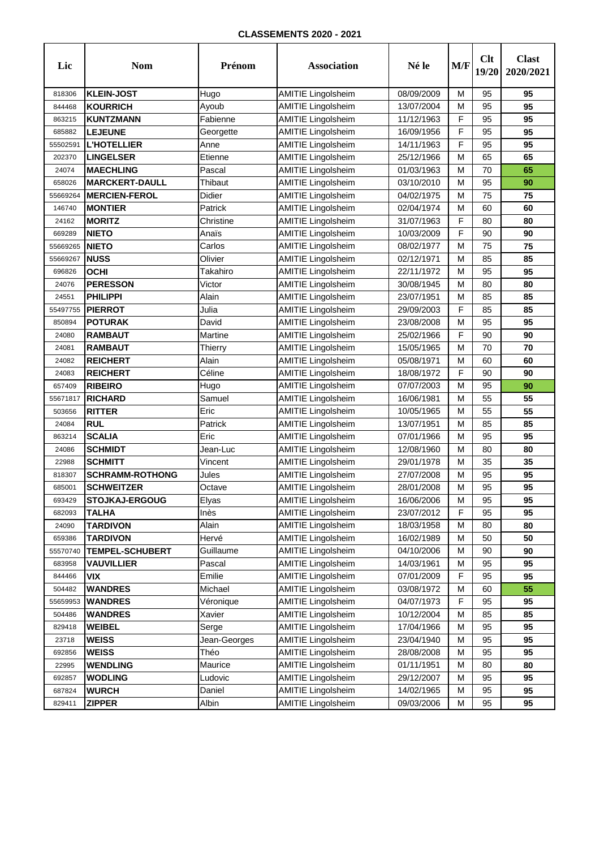| Lic      | <b>Nom</b>             | Prénom       | <b>Association</b>        | Né le      | M/F | Clt<br>19/20 | <b>Clast</b><br>2020/2021 |
|----------|------------------------|--------------|---------------------------|------------|-----|--------------|---------------------------|
| 818306   | <b>KLEIN-JOST</b>      | Hugo         | <b>AMITIE Lingolsheim</b> | 08/09/2009 | М   | 95           | 95                        |
| 844468   | <b>KOURRICH</b>        | Ayoub        | <b>AMITIE Lingolsheim</b> | 13/07/2004 | М   | 95           | 95                        |
| 863215   | <b>KUNTZMANN</b>       | Fabienne     | <b>AMITIE Lingolsheim</b> | 11/12/1963 | F   | 95           | 95                        |
| 685882   | <b>LEJEUNE</b>         | Georgette    | <b>AMITIE Lingolsheim</b> | 16/09/1956 | F   | 95           | 95                        |
| 55502591 | <b>L'HOTELLIER</b>     | Anne         | <b>AMITIE Lingolsheim</b> | 14/11/1963 | F   | 95           | 95                        |
| 202370   | <b>LINGELSER</b>       | Etienne      | <b>AMITIE Lingolsheim</b> | 25/12/1966 | M   | 65           | 65                        |
| 24074    | <b>MAECHLING</b>       | Pascal       | <b>AMITIE Lingolsheim</b> | 01/03/1963 | М   | 70           | 65                        |
| 658026   | <b>MARCKERT-DAULL</b>  | Thibaut      | <b>AMITIE Lingolsheim</b> | 03/10/2010 | М   | 95           | 90                        |
| 55669264 | <b>MERCIEN-FEROL</b>   | Didier       | <b>AMITIE Lingolsheim</b> | 04/02/1975 | М   | 75           | 75                        |
| 146740   | <b>MONTIER</b>         | Patrick      | <b>AMITIE Lingolsheim</b> | 02/04/1974 | М   | 60           | 60                        |
| 24162    | <b>MORITZ</b>          | Christine    | <b>AMITIE Lingolsheim</b> | 31/07/1963 | F   | 80           | 80                        |
| 669289   | <b>NIETO</b>           | Anaïs        | <b>AMITIE Lingolsheim</b> | 10/03/2009 | F   | 90           | 90                        |
| 55669265 | <b>NIETO</b>           | Carlos       | <b>AMITIE Lingolsheim</b> | 08/02/1977 | м   | 75           | 75                        |
| 55669267 | <b>NUSS</b>            | Olivier      | <b>AMITIE Lingolsheim</b> | 02/12/1971 | М   | 85           | 85                        |
| 696826   | <b>OCHI</b>            | Takahiro     | <b>AMITIE Lingolsheim</b> | 22/11/1972 | М   | 95           | 95                        |
| 24076    | <b>PERESSON</b>        | Victor       | <b>AMITIE Lingolsheim</b> | 30/08/1945 | М   | 80           | 80                        |
| 24551    | <b>PHILIPPI</b>        | Alain        | <b>AMITIE Lingolsheim</b> | 23/07/1951 | М   | 85           | 85                        |
| 55497755 | <b>PIERROT</b>         | Julia        | <b>AMITIE Lingolsheim</b> | 29/09/2003 | F   | 85           | 85                        |
| 850894   | <b>POTURAK</b>         | David        | <b>AMITIE Lingolsheim</b> | 23/08/2008 | М   | 95           | 95                        |
| 24080    | <b>RAMBAUT</b>         | Martine      | <b>AMITIE Lingolsheim</b> | 25/02/1966 | F   | 90           | 90                        |
| 24081    | <b>RAMBAUT</b>         | Thierry      | <b>AMITIE Lingolsheim</b> | 15/05/1965 | М   | 70           | 70                        |
| 24082    | <b>REICHERT</b>        | Alain        | <b>AMITIE Lingolsheim</b> | 05/08/1971 | М   | 60           | 60                        |
| 24083    | <b>REICHERT</b>        | Céline       | <b>AMITIE Lingolsheim</b> | 18/08/1972 | F   | 90           | 90                        |
| 657409   | <b>RIBEIRO</b>         | Hugo         | <b>AMITIE Lingolsheim</b> | 07/07/2003 | М   | 95           | 90                        |
| 55671817 | <b>RICHARD</b>         | Samuel       | <b>AMITIE Lingolsheim</b> | 16/06/1981 | М   | 55           | 55                        |
| 503656   | <b>RITTER</b>          | Eric         | <b>AMITIE Lingolsheim</b> | 10/05/1965 | М   | 55           | 55                        |
| 24084    | <b>RUL</b>             | Patrick      | <b>AMITIE Lingolsheim</b> | 13/07/1951 | М   | 85           | 85                        |
| 863214   | <b>SCALIA</b>          | Eric         | <b>AMITIE Lingolsheim</b> | 07/01/1966 | М   | 95           | 95                        |
| 24086    | <b>SCHMIDT</b>         | Jean-Luc     | <b>AMITIE Lingolsheim</b> | 12/08/1960 | М   | 80           | 80                        |
| 22988    | <b>SCHMITT</b>         | Vincent      | <b>AMITIE Lingolsheim</b> | 29/01/1978 | М   | 35           | 35                        |
| 818307   | <b>SCHRAMM-ROTHONG</b> | Jules        | <b>AMITIE Lingolsheim</b> | 27/07/2008 | М   | 95           | 95                        |
| 685001   | <b>SCHWEITZER</b>      | Octave       | <b>AMITIE Lingolsheim</b> | 28/01/2008 | М   | 95           | 95                        |
| 693429   | <b>STOJKAJ-ERGOUG</b>  | Elyas        | <b>AMITIE Lingolsheim</b> | 16/06/2006 | м   | 95           | 95                        |
| 682093   | <b>TALHA</b>           | Inès         | <b>AMITIE Lingolsheim</b> | 23/07/2012 | F   | 95           | 95                        |
| 24090    | <b>TARDIVON</b>        | Alain        | <b>AMITIE Lingolsheim</b> | 18/03/1958 | М   | 80           | 80                        |
| 659386   | <b>TARDIVON</b>        | Hervé        | <b>AMITIE Lingolsheim</b> | 16/02/1989 | М   | 50           | 50                        |
| 55570740 | <b>TEMPEL-SCHUBERT</b> | Guillaume    | <b>AMITIE Lingolsheim</b> | 04/10/2006 | М   | 90           | 90                        |
| 683958   | <b>VAUVILLIER</b>      | Pascal       | <b>AMITIE Lingolsheim</b> | 14/03/1961 | M   | 95           | 95                        |
| 844466   | <b>VIX</b>             | Emilie       | <b>AMITIE Lingolsheim</b> | 07/01/2009 | F   | 95           | 95                        |
| 504482   | <b>WANDRES</b>         | Michael      | <b>AMITIE Lingolsheim</b> | 03/08/1972 | M   | 60           | 55                        |
| 55659953 | <b>WANDRES</b>         | Véronique    | <b>AMITIE Lingolsheim</b> | 04/07/1973 | F   | 95           | 95                        |
| 504486   | <b>WANDRES</b>         | Xavier       | <b>AMITIE Lingolsheim</b> | 10/12/2004 | М   | 85           | 85                        |
| 829418   | <b>WEIBEL</b>          | Serge        | <b>AMITIE Lingolsheim</b> | 17/04/1966 | М   | 95           | 95                        |
| 23718    | <b>WEISS</b>           | Jean-Georges | <b>AMITIE Lingolsheim</b> | 23/04/1940 | M   | 95           | 95                        |
| 692856   | <b>WEISS</b>           | Théo         | <b>AMITIE Lingolsheim</b> | 28/08/2008 | М   | 95           | 95                        |
| 22995    | <b>WENDLING</b>        | Maurice      | <b>AMITIE Lingolsheim</b> | 01/11/1951 | М   | 80           | 80                        |
| 692857   | <b>WODLING</b>         | Ludovic      | <b>AMITIE Lingolsheim</b> | 29/12/2007 | М   | 95           | 95                        |
| 687824   | <b>WURCH</b>           | Daniel       | <b>AMITIE Lingolsheim</b> | 14/02/1965 | М   | 95           | 95                        |
| 829411   | <b>ZIPPER</b>          | Albin        | <b>AMITIE Lingolsheim</b> | 09/03/2006 | М   | 95           | 95                        |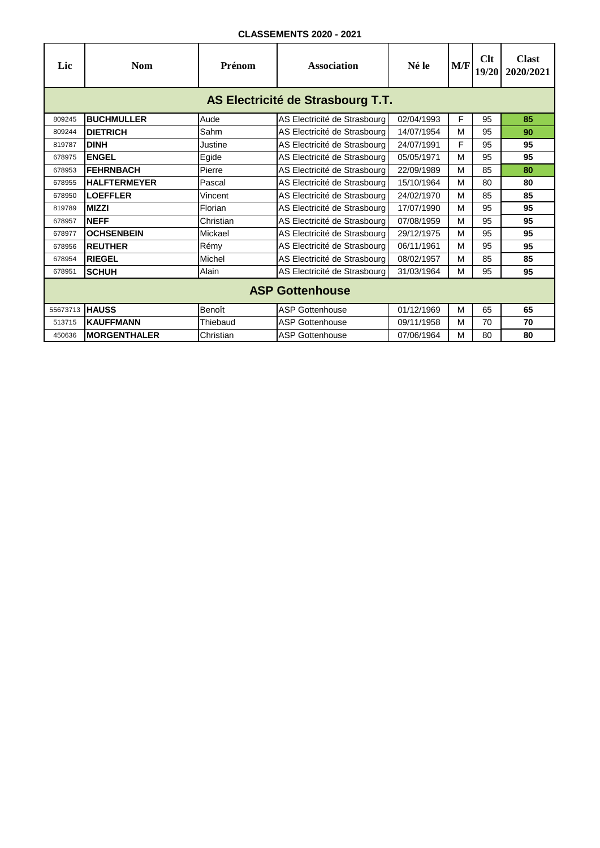| Lic      | <b>Nom</b>                        | Prénom    | <b>Association</b>           | Né le      | M/F | Clt<br>19/20 | <b>Clast</b><br>2020/2021 |  |  |  |
|----------|-----------------------------------|-----------|------------------------------|------------|-----|--------------|---------------------------|--|--|--|
|          | AS Electricité de Strasbourg T.T. |           |                              |            |     |              |                           |  |  |  |
| 809245   | <b>BUCHMULLER</b>                 | Aude      | AS Electricité de Strasbourg | 02/04/1993 | F   | 95           | 85                        |  |  |  |
| 809244   | <b>DIETRICH</b>                   | Sahm      | AS Electricité de Strasbourg | 14/07/1954 | м   | 95           | 90                        |  |  |  |
| 819787   | <b>DINH</b>                       | Justine   | AS Electricité de Strasbourg | 24/07/1991 | F   | 95           | 95                        |  |  |  |
| 678975   | <b>ENGEL</b>                      | Egide     | AS Electricité de Strasbourg | 05/05/1971 | M   | 95           | 95                        |  |  |  |
| 678953   | <b>IFEHRNBACH</b>                 | Pierre    | AS Electricité de Strasbourg | 22/09/1989 | м   | 85           | 80                        |  |  |  |
| 678955   | <b>HALFTERMEYER</b>               | Pascal    | AS Electricité de Strasbourg | 15/10/1964 | M   | 80           | 80                        |  |  |  |
| 678950   | <b>LOEFFLER</b>                   | Vincent   | AS Electricité de Strasbourg | 24/02/1970 | M   | 85           | 85                        |  |  |  |
| 819789   | <b>MIZZI</b>                      | Florian   | AS Electricité de Strasbourg | 17/07/1990 | м   | 95           | 95                        |  |  |  |
| 678957   | <b>NEFF</b>                       | Christian | AS Electricité de Strasbourg | 07/08/1959 | м   | 95           | 95                        |  |  |  |
| 678977   | <b>OCHSENBEIN</b>                 | Mickael   | AS Electricité de Strasbourg | 29/12/1975 | M   | 95           | 95                        |  |  |  |
| 678956   | <b>REUTHER</b>                    | Rémy      | AS Electricité de Strasbourg | 06/11/1961 | м   | 95           | 95                        |  |  |  |
| 678954   | <b>RIEGEL</b>                     | Michel    | AS Electricité de Strasbourg | 08/02/1957 | M   | 85           | 85                        |  |  |  |
| 678951   | <b>SCHUH</b>                      | Alain     | AS Electricité de Strasbourg | 31/03/1964 | м   | 95           | 95                        |  |  |  |
|          | <b>ASP Gottenhouse</b>            |           |                              |            |     |              |                           |  |  |  |
| 55673713 | <b>HAUSS</b>                      | Benoît    | <b>ASP Gottenhouse</b>       | 01/12/1969 | M   | 65           | 65                        |  |  |  |
| 513715   | <b>KAUFFMANN</b>                  | Thiebaud  | <b>ASP Gottenhouse</b>       | 09/11/1958 | м   | 70           | 70                        |  |  |  |
| 450636   | <b>MORGENTHALER</b>               | Christian | <b>ASP Gottenhouse</b>       | 07/06/1964 | M   | 80           | 80                        |  |  |  |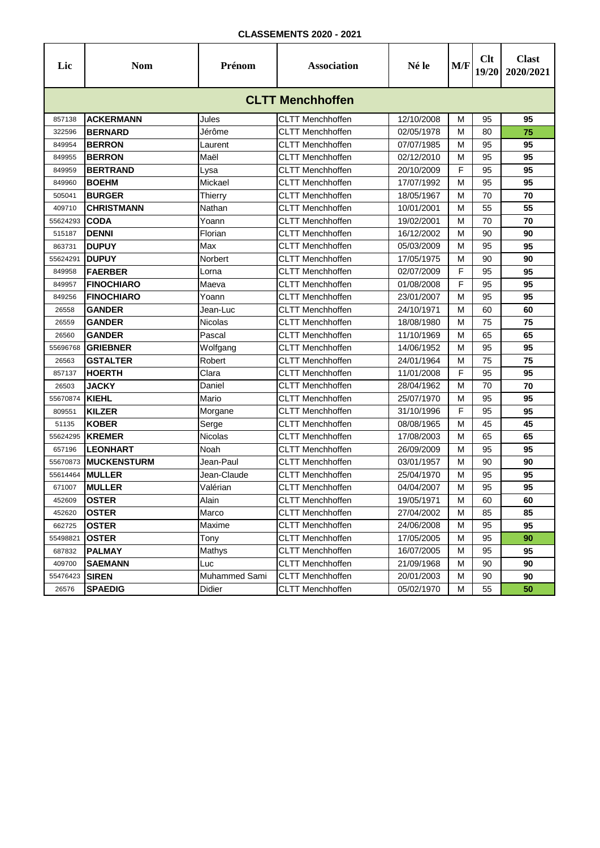| Lic      | <b>Nom</b>              | Prénom        | <b>Association</b>      | Né le      | M/F       | Clt<br>19/20 | <b>Clast</b><br>2020/2021 |  |  |  |  |  |
|----------|-------------------------|---------------|-------------------------|------------|-----------|--------------|---------------------------|--|--|--|--|--|
|          | <b>CLTT Menchhoffen</b> |               |                         |            |           |              |                           |  |  |  |  |  |
| 857138   | <b>ACKERMANN</b>        | Jules         | <b>CLTT Menchhoffen</b> | 12/10/2008 | м         | 95           | 95                        |  |  |  |  |  |
| 322596   | <b>BERNARD</b>          | Jérôme        | <b>CLTT Menchhoffen</b> | 02/05/1978 | М         | 80           | 75                        |  |  |  |  |  |
| 849954   | <b>BERRON</b>           | Laurent       | <b>CLTT Menchhoffen</b> | 07/07/1985 | М         | 95           | 95                        |  |  |  |  |  |
| 849955   | <b>BERRON</b>           | Maël          | <b>CLTT Menchhoffen</b> | 02/12/2010 | М         | 95           | 95                        |  |  |  |  |  |
| 849959   | <b>BERTRAND</b>         | Lysa          | <b>CLTT Menchhoffen</b> | 20/10/2009 | F         | 95           | 95                        |  |  |  |  |  |
| 849960   | <b>BOEHM</b>            | Mickael       | <b>CLTT Menchhoffen</b> | 17/07/1992 | М         | 95           | 95                        |  |  |  |  |  |
| 505041   | <b>BURGER</b>           | Thierry       | <b>CLTT Menchhoffen</b> | 18/05/1967 | М         | 70           | 70                        |  |  |  |  |  |
| 409710   | <b>CHRISTMANN</b>       | Nathan        | <b>CLTT Menchhoffen</b> | 10/01/2001 | М         | 55           | 55                        |  |  |  |  |  |
| 55624293 | <b>CODA</b>             | Yoann         | <b>CLTT Menchhoffen</b> | 19/02/2001 | М         | 70           | 70                        |  |  |  |  |  |
| 515187   | <b>DENNI</b>            | Florian       | <b>CLTT Menchhoffen</b> | 16/12/2002 | М         | 90           | 90                        |  |  |  |  |  |
| 863731   | <b>DUPUY</b>            | Max           | <b>CLTT Menchhoffen</b> | 05/03/2009 | М         | 95           | 95                        |  |  |  |  |  |
| 55624291 | <b>DUPUY</b>            | Norbert       | CLTT Menchhoffen        | 17/05/1975 | М         | 90           | 90                        |  |  |  |  |  |
| 849958   | <b>FAERBER</b>          | Lorna         | <b>CLTT Menchhoffen</b> | 02/07/2009 | F         | 95           | 95                        |  |  |  |  |  |
| 849957   | <b>FINOCHIARO</b>       | Maeva         | <b>CLTT Menchhoffen</b> | 01/08/2008 | F         | 95           | 95                        |  |  |  |  |  |
| 849256   | <b>FINOCHIARO</b>       | Yoann         | <b>CLTT Menchhoffen</b> | 23/01/2007 | М         | 95           | 95                        |  |  |  |  |  |
| 26558    | <b>GANDER</b>           | Jean-Luc      | <b>CLTT Menchhoffen</b> | 24/10/1971 | М         | 60           | 60                        |  |  |  |  |  |
| 26559    | <b>GANDER</b>           | Nicolas       | CLTT Menchhoffen        | 18/08/1980 | М         | 75           | 75                        |  |  |  |  |  |
| 26560    | <b>GANDER</b>           | Pascal        | <b>CLTT Menchhoffen</b> | 11/10/1969 | М         | 65           | 65                        |  |  |  |  |  |
| 55696768 | <b>GRIEBNER</b>         | Wolfgang      | <b>CLTT Menchhoffen</b> | 14/06/1952 | М         | 95           | 95                        |  |  |  |  |  |
| 26563    | <b>GSTALTER</b>         | Robert        | <b>CLTT Menchhoffen</b> | 24/01/1964 | М         | 75           | 75                        |  |  |  |  |  |
| 857137   | <b>HOERTH</b>           | Clara         | <b>CLTT Menchhoffen</b> | 11/01/2008 | F         | 95           | 95                        |  |  |  |  |  |
| 26503    | <b>JACKY</b>            | Daniel        | CLTT Menchhoffen        | 28/04/1962 | М         | 70           | 70                        |  |  |  |  |  |
| 55670874 | <b>KIEHL</b>            | Mario         | <b>CLTT Menchhoffen</b> | 25/07/1970 | м         | 95           | 95                        |  |  |  |  |  |
| 809551   | <b>KILZER</b>           | Morgane       | <b>CLTT Menchhoffen</b> | 31/10/1996 | F         | 95           | 95                        |  |  |  |  |  |
| 51135    | <b>KOBER</b>            | Serge         | <b>CLTT Menchhoffen</b> | 08/08/1965 | М         | 45           | 45                        |  |  |  |  |  |
| 55624295 | <b>KREMER</b>           | Nicolas       | <b>CLTT Menchhoffen</b> | 17/08/2003 | М         | 65           | 65                        |  |  |  |  |  |
| 657196   | <b>LEONHART</b>         | Noah          | <b>CLTT Menchhoffen</b> | 26/09/2009 | М         | 95           | 95                        |  |  |  |  |  |
| 55670873 | <b>MUCKENSTURM</b>      | Jean-Paul     | <b>CLTT Menchhoffen</b> | 03/01/1957 | М         | 90           | 90                        |  |  |  |  |  |
| 55614464 | <b>MULLER</b>           | Jean-Claude   | <b>CLTT Menchhoffen</b> | 25/04/1970 | М         | 95           | 95                        |  |  |  |  |  |
| 671007   | <b>MULLER</b>           | Valérian      | <b>CLTT Menchhoffen</b> | 04/04/2007 | М         | 95           | 95                        |  |  |  |  |  |
| 452609   | <b>OSTER</b>            | Alain         | CLTT Menchhoffen        | 19/05/1971 | ${\sf M}$ | 60           | 60                        |  |  |  |  |  |
| 452620   | <b>OSTER</b>            | Marco         | <b>CLTT Menchhoffen</b> | 27/04/2002 | М         | 85           | 85                        |  |  |  |  |  |
| 662725   | <b>OSTER</b>            | Maxime        | <b>CLTT Menchhoffen</b> | 24/06/2008 | М         | 95           | 95                        |  |  |  |  |  |
| 55498821 | <b>OSTER</b>            | Tony          | <b>CLTT Menchhoffen</b> | 17/05/2005 | М         | 95           | 90                        |  |  |  |  |  |
| 687832   | <b>PALMAY</b>           | Mathys        | <b>CLTT Menchhoffen</b> | 16/07/2005 | М         | 95           | 95                        |  |  |  |  |  |
| 409700   | <b>SAEMANN</b>          | Luc           | CLTT Menchhoffen        | 21/09/1968 | М         | 90           | 90                        |  |  |  |  |  |
| 55476423 | <b>SIREN</b>            | Muhammed Sami | <b>CLTT Menchhoffen</b> | 20/01/2003 | М         | 90           | 90                        |  |  |  |  |  |
| 26576    | <b>SPAEDIG</b>          | Didier        | <b>CLTT Menchhoffen</b> | 05/02/1970 | М         | 55           | 50                        |  |  |  |  |  |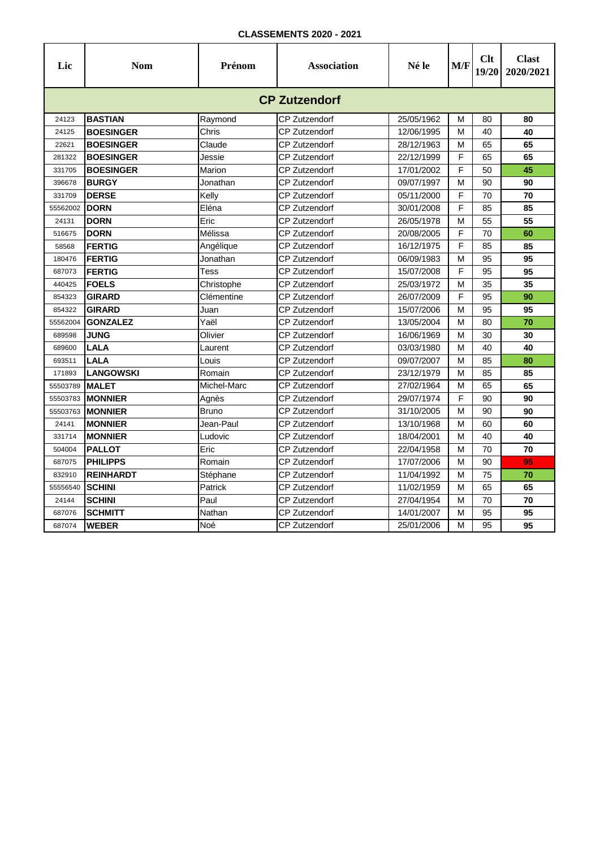| Lic      | <b>Nom</b>           | Prénom      | <b>Association</b>   | Né le      | M/F | Clt<br>19/20 | <b>Clast</b><br>2020/2021 |  |  |  |  |
|----------|----------------------|-------------|----------------------|------------|-----|--------------|---------------------------|--|--|--|--|
|          | <b>CP Zutzendorf</b> |             |                      |            |     |              |                           |  |  |  |  |
| 24123    | <b>BASTIAN</b>       | Raymond     | CP Zutzendorf        | 25/05/1962 | м   | 80           | 80                        |  |  |  |  |
| 24125    | <b>BOESINGER</b>     | Chris       | <b>CP Zutzendorf</b> | 12/06/1995 | M   | 40           | 40                        |  |  |  |  |
| 22621    | <b>BOESINGER</b>     | Claude      | <b>CP Zutzendorf</b> | 28/12/1963 | M   | 65           | 65                        |  |  |  |  |
| 281322   | <b>BOESINGER</b>     | Jessie      | CP Zutzendorf        | 22/12/1999 | F   | 65           | 65                        |  |  |  |  |
| 331705   | <b>BOESINGER</b>     | Marion      | CP Zutzendorf        | 17/01/2002 | F   | 50           | 45                        |  |  |  |  |
| 396678   | <b>BURGY</b>         | Jonathan    | <b>CP Zutzendorf</b> | 09/07/1997 | M   | 90           | 90                        |  |  |  |  |
| 331709   | <b>DERSE</b>         | Kelly       | <b>CP Zutzendorf</b> | 05/11/2000 | F   | 70           | 70                        |  |  |  |  |
| 55562002 | <b>DORN</b>          | Eléna       | CP Zutzendorf        | 30/01/2008 | F   | 85           | 85                        |  |  |  |  |
| 24131    | <b>DORN</b>          | Eric        | <b>CP Zutzendorf</b> | 26/05/1978 | M   | 55           | 55                        |  |  |  |  |
| 516675   | <b>DORN</b>          | Mélissa     | <b>CP Zutzendorf</b> | 20/08/2005 | F   | 70           | 60                        |  |  |  |  |
| 58568    | <b>FERTIG</b>        | Angélique   | CP Zutzendorf        | 16/12/1975 | F   | 85           | 85                        |  |  |  |  |
| 180476   | <b>FERTIG</b>        | Jonathan    | <b>CP Zutzendorf</b> | 06/09/1983 | м   | 95           | 95                        |  |  |  |  |
| 687073   | <b>FERTIG</b>        | Tess        | <b>CP Zutzendorf</b> | 15/07/2008 | F   | 95           | 95                        |  |  |  |  |
| 440425   | <b>FOELS</b>         | Christophe  | <b>CP Zutzendorf</b> | 25/03/1972 | M   | 35           | 35                        |  |  |  |  |
| 854323   | <b>GIRARD</b>        | Clémentine  | <b>CP Zutzendorf</b> | 26/07/2009 | F   | 95           | 90                        |  |  |  |  |
| 854322   | <b>GIRARD</b>        | Juan        | CP Zutzendorf        | 15/07/2006 | M   | 95           | 95                        |  |  |  |  |
| 55562004 | <b>GONZALEZ</b>      | Yaël        | <b>CP Zutzendorf</b> | 13/05/2004 | M   | 80           | 70                        |  |  |  |  |
| 689598   | <b>JUNG</b>          | Olivier     | <b>CP Zutzendorf</b> | 16/06/1969 | M   | 30           | 30                        |  |  |  |  |
| 689600   | <b>LALA</b>          | Laurent     | <b>CP Zutzendorf</b> | 03/03/1980 | м   | 40           | 40                        |  |  |  |  |
| 693511   | <b>LALA</b>          | Louis       | CP Zutzendorf        | 09/07/2007 | M   | 85           | 80                        |  |  |  |  |
| 171893   | <b>LANGOWSKI</b>     | Romain      | <b>CP Zutzendorf</b> | 23/12/1979 | M   | 85           | 85                        |  |  |  |  |
| 55503789 | <b>MALET</b>         | Michel-Marc | <b>CP Zutzendorf</b> | 27/02/1964 | M   | 65           | 65                        |  |  |  |  |
| 55503783 | <b>MONNIER</b>       | Agnès       | <b>CP Zutzendorf</b> | 29/07/1974 | F   | 90           | 90                        |  |  |  |  |
| 55503763 | <b>MONNIER</b>       | Bruno       | <b>CP Zutzendorf</b> | 31/10/2005 | M   | 90           | 90                        |  |  |  |  |
| 24141    | <b>MONNIER</b>       | Jean-Paul   | CP Zutzendorf        | 13/10/1968 | M   | 60           | 60                        |  |  |  |  |
| 331714   | <b>MONNIER</b>       | Ludovic     | CP Zutzendorf        | 18/04/2001 | м   | 40           | 40                        |  |  |  |  |
| 504004   | <b>PALLOT</b>        | Eric        | CP Zutzendorf        | 22/04/1958 | M   | 70           | 70                        |  |  |  |  |
| 687075   | <b>PHILIPPS</b>      | Romain      | CP Zutzendorf        | 17/07/2006 | м   | 90           | 95                        |  |  |  |  |
| 832910   | <b>REINHARDT</b>     | Stéphane    | CP Zutzendorf        | 11/04/1992 | M   | 75           | 70                        |  |  |  |  |
| 55556540 | <b>SCHINI</b>        | Patrick     | <b>CP Zutzendorf</b> | 11/02/1959 | M   | 65           | 65                        |  |  |  |  |
| 24144    | <b>SCHINI</b>        | Paul        | <b>CP Zutzendorf</b> | 27/04/1954 | M   | 70           | 70                        |  |  |  |  |
| 687076   | <b>SCHMITT</b>       | Nathan      | <b>CP Zutzendorf</b> | 14/01/2007 | M   | 95           | 95                        |  |  |  |  |
| 687074   | <b>WEBER</b>         | Noé         | CP Zutzendorf        | 25/01/2006 | М   | 95           | 95                        |  |  |  |  |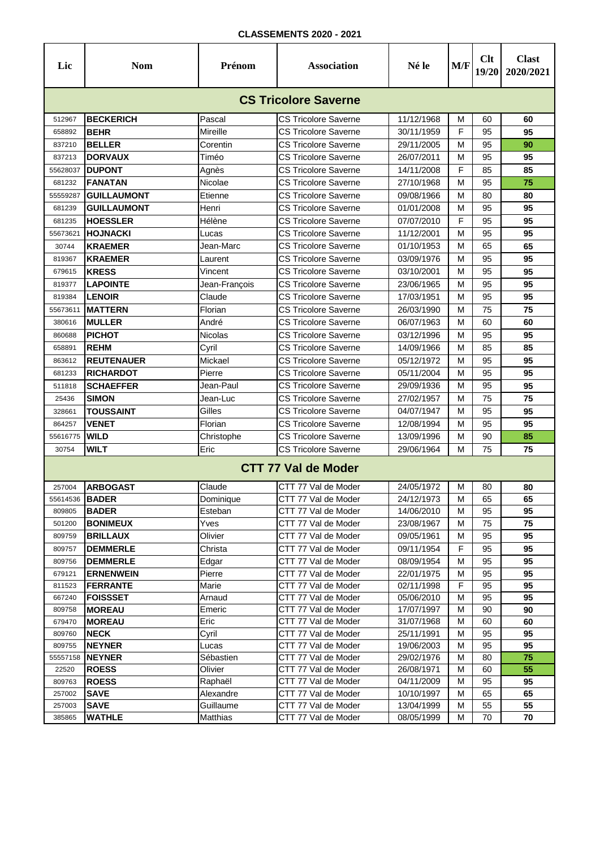| Lic                         | <b>Nom</b>         | Prénom        | <b>Association</b>          | Né le      | M/F | Clt<br>19/20 | <b>Clast</b><br>2020/2021 |  |  |  |  |
|-----------------------------|--------------------|---------------|-----------------------------|------------|-----|--------------|---------------------------|--|--|--|--|
| <b>CS Tricolore Saverne</b> |                    |               |                             |            |     |              |                           |  |  |  |  |
| 512967                      | <b>BECKERICH</b>   | Pascal        | <b>CS Tricolore Saverne</b> | 11/12/1968 | м   | 60           | 60                        |  |  |  |  |
| 658892                      | <b>BEHR</b>        | Mireille      | <b>CS Tricolore Saverne</b> | 30/11/1959 | F   | 95           | 95                        |  |  |  |  |
| 837210                      | <b>BELLER</b>      | Corentin      | <b>CS Tricolore Saverne</b> | 29/11/2005 | М   | 95           | 90                        |  |  |  |  |
| 837213                      | <b>DORVAUX</b>     | Timéo         | <b>CS Tricolore Saverne</b> | 26/07/2011 | М   | 95           | 95                        |  |  |  |  |
| 55628037                    | <b>DUPONT</b>      | Agnès         | CS Tricolore Saverne        | 14/11/2008 | F   | 85           | 85                        |  |  |  |  |
| 681232                      | <b>FANATAN</b>     | Nicolae       | <b>CS Tricolore Saverne</b> | 27/10/1968 | М   | 95           | 75                        |  |  |  |  |
| 55559287                    | <b>GUILLAUMONT</b> | Etienne       | CS Tricolore Saverne        | 09/08/1966 | М   | 80           | 80                        |  |  |  |  |
| 681239                      | <b>GUILLAUMONT</b> | Henri         | <b>CS Tricolore Saverne</b> | 01/01/2008 | М   | 95           | 95                        |  |  |  |  |
| 681235                      | <b>HOESSLER</b>    | Hélène        | CS Tricolore Saverne        | 07/07/2010 | F   | 95           | 95                        |  |  |  |  |
| 55673621                    | <b>HOJNACKI</b>    | Lucas         | CS Tricolore Saverne        | 11/12/2001 | М   | 95           | 95                        |  |  |  |  |
| 30744                       | <b>KRAEMER</b>     | Jean-Marc     | <b>CS Tricolore Saverne</b> | 01/10/1953 | М   | 65           | 65                        |  |  |  |  |
| 819367                      | <b>KRAEMER</b>     | Laurent       | CS Tricolore Saverne        | 03/09/1976 | М   | 95           | 95                        |  |  |  |  |
| 679615                      | <b>KRESS</b>       | Vincent       | CS Tricolore Saverne        | 03/10/2001 | м   | 95           | 95                        |  |  |  |  |
| 819377                      | <b>LAPOINTE</b>    | Jean-François | <b>CS Tricolore Saverne</b> | 23/06/1965 | м   | 95           | 95                        |  |  |  |  |
| 819384                      | <b>LENOIR</b>      | Claude        | CS Tricolore Saverne        | 17/03/1951 | М   | 95           | 95                        |  |  |  |  |
| 55673611                    | <b>MATTERN</b>     | Florian       | <b>CS Tricolore Saverne</b> | 26/03/1990 | М   | 75           | 75                        |  |  |  |  |
| 380616                      | <b>MULLER</b>      | André         | CS Tricolore Saverne        | 06/07/1963 | М   | 60           | 60                        |  |  |  |  |
| 860688                      | <b>PICHOT</b>      | Nicolas       | <b>CS Tricolore Saverne</b> | 03/12/1996 | М   | 95           | 95                        |  |  |  |  |
| 658891                      | <b>REHM</b>        | Cyril         | CS Tricolore Saverne        | 14/09/1966 | М   | 85           | 85                        |  |  |  |  |
| 863612                      | <b>REUTENAUER</b>  | Mickael       | <b>CS Tricolore Saverne</b> | 05/12/1972 | М   | 95           | 95                        |  |  |  |  |
| 681233                      | <b>RICHARDOT</b>   | Pierre        | <b>CS Tricolore Saverne</b> | 05/11/2004 | М   | 95           | 95                        |  |  |  |  |
| 511818                      | <b>SCHAEFFER</b>   | Jean-Paul     | <b>CS Tricolore Saverne</b> | 29/09/1936 | М   | 95           | 95                        |  |  |  |  |
| 25436                       | <b>SIMON</b>       | Jean-Luc      | CS Tricolore Saverne        | 27/02/1957 | М   | 75           | 75                        |  |  |  |  |
| 328661                      | <b>TOUSSAINT</b>   | Gilles        | <b>CS Tricolore Saverne</b> | 04/07/1947 | М   | 95           | 95                        |  |  |  |  |
| 864257                      | <b>VENET</b>       | Florian       | <b>CS Tricolore Saverne</b> | 12/08/1994 | М   | 95           | 95                        |  |  |  |  |
| 55616775                    | <b>WILD</b>        | Christophe    | <b>CS Tricolore Saverne</b> | 13/09/1996 | М   | 90           | 85                        |  |  |  |  |
| 30754                       | <b>WILT</b>        | Eric          | <b>CS Tricolore Saverne</b> | 29/06/1964 | М   | 75           | 75                        |  |  |  |  |
|                             |                    |               | <b>CTT 77 Val de Moder</b>  |            |     |              |                           |  |  |  |  |
| 257004                      | <b>ARBOGAST</b>    | Claude        | CTT 77 Val de Moder         | 24/05/1972 | м   | 80           | 80                        |  |  |  |  |
| 55614536 <b>BADER</b>       |                    | Dominique     | CTT 77 Val de Moder         | 24/12/1973 | M   | 65           | 65                        |  |  |  |  |
| 809805                      | <b>BADER</b>       | Esteban       | CTT 77 Val de Moder         | 14/06/2010 | М   | 95           | 95                        |  |  |  |  |
| 501200                      | <b>BONIMEUX</b>    | Yves          | CTT 77 Val de Moder         | 23/08/1967 | м   | 75           | 75                        |  |  |  |  |
| 809759                      | <b>BRILLAUX</b>    | Olivier       | CTT 77 Val de Moder         | 09/05/1961 | М   | 95           | 95                        |  |  |  |  |
| 809757                      | <b>DEMMERLE</b>    | Christa       | CTT 77 Val de Moder         | 09/11/1954 | F   | 95           | 95                        |  |  |  |  |
| 809756                      | <b>DEMMERLE</b>    | Edgar         | CTT 77 Val de Moder         | 08/09/1954 | М   | 95           | 95                        |  |  |  |  |
| 679121                      | <b>ERNENWEIN</b>   | Pierre        | CTT 77 Val de Moder         | 22/01/1975 | М   | 95           | 95                        |  |  |  |  |
| 811523                      | <b>FERRANTE</b>    | Marie         | CTT 77 Val de Moder         | 02/11/1998 | F   | 95           | 95                        |  |  |  |  |
| 667240                      | <b>FOISSSET</b>    | Arnaud        | CTT 77 Val de Moder         | 05/06/2010 | М   | 95           | 95                        |  |  |  |  |
| 809758                      | <b>MOREAU</b>      | Emeric        | CTT 77 Val de Moder         | 17/07/1997 | М   | 90           | 90                        |  |  |  |  |
| 679470                      | <b>MOREAU</b>      | Eric          | CTT 77 Val de Moder         | 31/07/1968 | М   | 60           | 60                        |  |  |  |  |
| 809760                      | <b>NECK</b>        | Cyril         | CTT 77 Val de Moder         | 25/11/1991 | М   | 95           | 95                        |  |  |  |  |
| 809755                      | <b>NEYNER</b>      | Lucas         | CTT 77 Val de Moder         | 19/06/2003 | М   | 95           | 95                        |  |  |  |  |
| 55557158                    | <b>NEYNER</b>      | Sébastien     | CTT 77 Val de Moder         | 29/02/1976 | М   | 80           | 75                        |  |  |  |  |
| 22520                       | <b>ROESS</b>       | Olivier       | CTT 77 Val de Moder         | 26/08/1971 | М   | 60           | 55                        |  |  |  |  |
| 809763                      | <b>ROESS</b>       | Raphaël       | CTT 77 Val de Moder         | 04/11/2009 | М   | 95           | 95                        |  |  |  |  |
| 257002                      | <b>SAVE</b>        | Alexandre     | CTT 77 Val de Moder         | 10/10/1997 | М   | 65           | 65                        |  |  |  |  |
| 257003                      | <b>SAVE</b>        | Guillaume     | CTT 77 Val de Moder         | 13/04/1999 | М   | 55           | 55                        |  |  |  |  |
| 385865                      | <b>WATHLE</b>      | Matthias      | CTT 77 Val de Moder         | 08/05/1999 | М   | 70           | 70                        |  |  |  |  |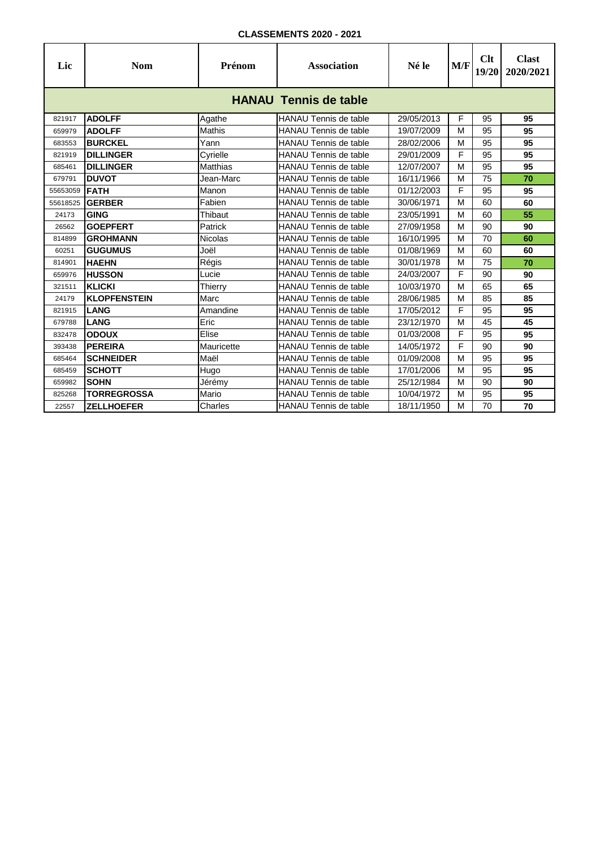| Lic      | <b>Nom</b>                   | Prénom          | <b>Association</b>           | Né le      | M/F | Clt<br>19/20 | <b>Clast</b><br>2020/2021 |  |  |  |
|----------|------------------------------|-----------------|------------------------------|------------|-----|--------------|---------------------------|--|--|--|
|          | <b>HANAU Tennis de table</b> |                 |                              |            |     |              |                           |  |  |  |
| 821917   | <b>ADOLFF</b>                | Agathe          | <b>HANAU Tennis de table</b> | 29/05/2013 | F   | 95           | 95                        |  |  |  |
| 659979   | <b>ADOLFF</b>                | Mathis          | <b>HANAU Tennis de table</b> | 19/07/2009 | M   | 95           | 95                        |  |  |  |
| 683553   | <b>BURCKEL</b>               | Yann            | <b>HANAU Tennis de table</b> | 28/02/2006 | M   | 95           | 95                        |  |  |  |
| 821919   | <b>DILLINGER</b>             | Cyrielle        | HANAU Tennis de table        | 29/01/2009 | F   | 95           | 95                        |  |  |  |
| 685461   | <b>DILLINGER</b>             | <b>Matthias</b> | <b>HANAU Tennis de table</b> | 12/07/2007 | M   | 95           | 95                        |  |  |  |
| 679791   | <b>DUVOT</b>                 | Jean-Marc       | <b>HANAU Tennis de table</b> | 16/11/1966 | M   | 75           | 70                        |  |  |  |
| 55653059 | <b>FATH</b>                  | Manon           | <b>HANAU Tennis de table</b> | 01/12/2003 | F   | 95           | 95                        |  |  |  |
| 55618525 | <b>GERBER</b>                | Fabien          | <b>HANAU Tennis de table</b> | 30/06/1971 | M   | 60           | 60                        |  |  |  |
| 24173    | <b>GING</b>                  | Thibaut         | <b>HANAU Tennis de table</b> | 23/05/1991 | M   | 60           | 55                        |  |  |  |
| 26562    | <b>GOEPFERT</b>              | Patrick         | <b>HANAU Tennis de table</b> | 27/09/1958 | M   | 90           | 90                        |  |  |  |
| 814899   | <b>GROHMANN</b>              | <b>Nicolas</b>  | <b>HANAU Tennis de table</b> | 16/10/1995 | M   | 70           | 60                        |  |  |  |
| 60251    | <b>GUGUMUS</b>               | Joël            | <b>HANAU Tennis de table</b> | 01/08/1969 | M   | 60           | 60                        |  |  |  |
| 814901   | <b>HAEHN</b>                 | Régis           | <b>HANAU Tennis de table</b> | 30/01/1978 | M   | 75           | 70                        |  |  |  |
| 659976   | <b>HUSSON</b>                | Lucie           | <b>HANAU Tennis de table</b> | 24/03/2007 | F   | 90           | 90                        |  |  |  |
| 321511   | <b>KLICKI</b>                | Thierry         | <b>HANAU Tennis de table</b> | 10/03/1970 | M   | 65           | 65                        |  |  |  |
| 24179    | <b>KLOPFENSTEIN</b>          | Marc            | <b>HANAU Tennis de table</b> | 28/06/1985 | M   | 85           | 85                        |  |  |  |
| 821915   | <b>LANG</b>                  | Amandine        | <b>HANAU Tennis de table</b> | 17/05/2012 | F   | 95           | 95                        |  |  |  |
| 679788   | <b>LANG</b>                  | Eric            | <b>HANAU Tennis de table</b> | 23/12/1970 | M   | 45           | 45                        |  |  |  |
| 832478   | <b>ODOUX</b>                 | Elise           | <b>HANAU Tennis de table</b> | 01/03/2008 | F   | 95           | 95                        |  |  |  |
| 393438   | <b>PEREIRA</b>               | Mauricette      | <b>HANAU Tennis de table</b> | 14/05/1972 | F   | 90           | 90                        |  |  |  |
| 685464   | <b>SCHNEIDER</b>             | Maël            | HANAU Tennis de table        | 01/09/2008 | M   | 95           | 95                        |  |  |  |
| 685459   | <b>SCHOTT</b>                | Hugo            | <b>HANAU Tennis de table</b> | 17/01/2006 | M   | 95           | 95                        |  |  |  |
| 659982   | <b>SOHN</b>                  | Jérémy          | <b>HANAU Tennis de table</b> | 25/12/1984 | M   | 90           | 90                        |  |  |  |
| 825268   | <b>TORREGROSSA</b>           | Mario           | <b>HANAU Tennis de table</b> | 10/04/1972 | M   | 95           | 95                        |  |  |  |
| 22557    | <b>ZELLHOEFER</b>            | Charles         | HANAU Tennis de table        | 18/11/1950 | М   | 70           | 70                        |  |  |  |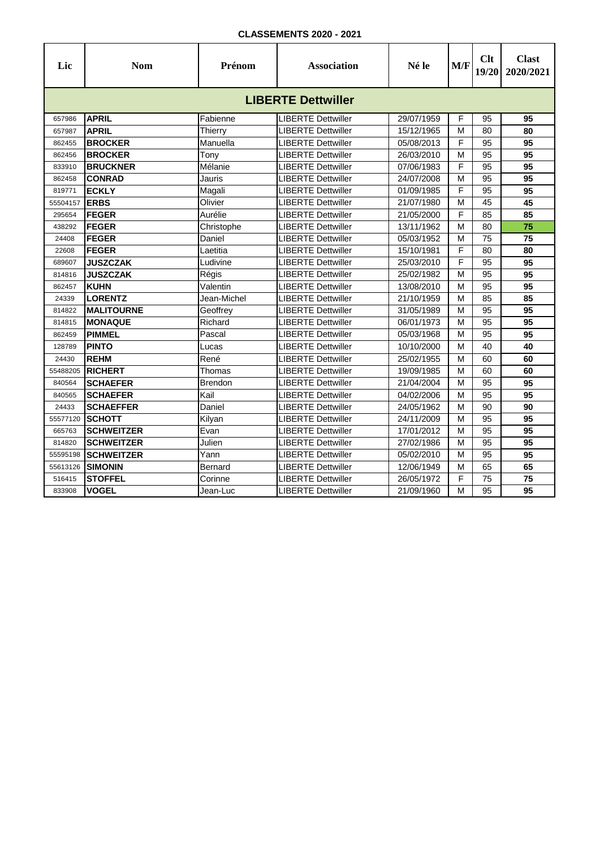| Lic                       | <b>Nom</b>        | Prénom      | <b>Association</b>        | Né le      | M/F | Clt<br>19/20 | <b>Clast</b><br>2020/2021 |  |  |  |  |
|---------------------------|-------------------|-------------|---------------------------|------------|-----|--------------|---------------------------|--|--|--|--|
| <b>LIBERTE Dettwiller</b> |                   |             |                           |            |     |              |                           |  |  |  |  |
| 657986                    | <b>APRIL</b>      | Fabienne    | <b>LIBERTE Dettwiller</b> | 29/07/1959 | F   | 95           | 95                        |  |  |  |  |
| 657987                    | <b>APRIL</b>      | Thierry     | <b>LIBERTE Dettwiller</b> | 15/12/1965 | M   | 80           | 80                        |  |  |  |  |
| 862455                    | <b>BROCKER</b>    | Manuella    | LIBERTE Dettwiller        | 05/08/2013 | F   | 95           | 95                        |  |  |  |  |
| 862456                    | <b>BROCKER</b>    | Tony        | LIBERTE Dettwiller        | 26/03/2010 | M   | 95           | 95                        |  |  |  |  |
| 833910                    | <b>BRUCKNER</b>   | Mélanie     | LIBERTE Dettwiller        | 07/06/1983 | F   | 95           | 95                        |  |  |  |  |
| 862458                    | <b>CONRAD</b>     | Jauris      | <b>LIBERTE Dettwiller</b> | 24/07/2008 | M   | 95           | 95                        |  |  |  |  |
| 819771                    | <b>ECKLY</b>      | Magali      | <b>LIBERTE Dettwiller</b> | 01/09/1985 | F   | 95           | 95                        |  |  |  |  |
| 55504157                  | <b>ERBS</b>       | Olivier     | <b>LIBERTE Dettwiller</b> | 21/07/1980 | M   | 45           | 45                        |  |  |  |  |
| 295654                    | <b>FEGER</b>      | Aurélie     | LIBERTE Dettwiller        | 21/05/2000 | F   | 85           | 85                        |  |  |  |  |
| 438292                    | <b>FEGER</b>      | Christophe  | LIBERTE Dettwiller        | 13/11/1962 | M   | 80           | $\overline{75}$           |  |  |  |  |
| 24408                     | <b>FEGER</b>      | Daniel      | LIBERTE Dettwiller        | 05/03/1952 | М   | 75           | 75                        |  |  |  |  |
| 22608                     | <b>FEGER</b>      | Laetitia    | LIBERTE Dettwiller        | 15/10/1981 | F   | 80           | 80                        |  |  |  |  |
| 689607                    | <b>JUSZCZAK</b>   | Ludivine    | <b>LIBERTE Dettwiller</b> | 25/03/2010 | F   | 95           | 95                        |  |  |  |  |
| 814816                    | <b>JUSZCZAK</b>   | Régis       | <b>LIBERTE Dettwiller</b> | 25/02/1982 | M   | 95           | 95                        |  |  |  |  |
| 862457                    | <b>KUHN</b>       | Valentin    | <b>LIBERTE Dettwiller</b> | 13/08/2010 | М   | 95           | 95                        |  |  |  |  |
| 24339                     | <b>LORENTZ</b>    | Jean-Michel | <b>LIBERTE Dettwiller</b> | 21/10/1959 | М   | 85           | 85                        |  |  |  |  |
| 814822                    | <b>MALITOURNE</b> | Geoffrey    | <b>LIBERTE Dettwiller</b> | 31/05/1989 | M   | 95           | 95                        |  |  |  |  |
| 814815                    | <b>MONAQUE</b>    | Richard     | <b>LIBERTE Dettwiller</b> | 06/01/1973 | М   | 95           | 95                        |  |  |  |  |
| 862459                    | <b>PIMMEL</b>     | Pascal      | LIBERTE Dettwiller        | 05/03/1968 | M   | 95           | 95                        |  |  |  |  |
| 128789                    | <b>PINTO</b>      | Lucas       | <b>LIBERTE Dettwiller</b> | 10/10/2000 | М   | 40           | 40                        |  |  |  |  |
| 24430                     | <b>REHM</b>       | René        | <b>LIBERTE Dettwiller</b> | 25/02/1955 | M   | 60           | 60                        |  |  |  |  |
| 55488205                  | <b>RICHERT</b>    | Thomas      | <b>LIBERTE Dettwiller</b> | 19/09/1985 | M   | 60           | 60                        |  |  |  |  |
| 840564                    | <b>SCHAEFER</b>   | Brendon     | <b>LIBERTE Dettwiller</b> | 21/04/2004 | M   | 95           | 95                        |  |  |  |  |
| 840565                    | <b>SCHAEFER</b>   | Kail        | <b>LIBERTE Dettwiller</b> | 04/02/2006 | M   | 95           | 95                        |  |  |  |  |
| 24433                     | <b>SCHAEFFER</b>  | Daniel      | <b>LIBERTE Dettwiller</b> | 24/05/1962 | M   | 90           | 90                        |  |  |  |  |
| 55577120                  | <b>SCHOTT</b>     | Kilyan      | <b>LIBERTE Dettwiller</b> | 24/11/2009 | М   | 95           | 95                        |  |  |  |  |
| 665763                    | <b>SCHWEITZER</b> | Evan        | <b>LIBERTE Dettwiller</b> | 17/01/2012 | М   | 95           | 95                        |  |  |  |  |
| 814820                    | <b>SCHWEITZER</b> | Julien      | LIBERTE Dettwiller        | 27/02/1986 | M   | 95           | 95                        |  |  |  |  |
| 55595198                  | <b>SCHWEITZER</b> | Yann        | LIBERTE Dettwiller        | 05/02/2010 | М   | 95           | 95                        |  |  |  |  |
| 55613126                  | <b>SIMONIN</b>    | Bernard     | LIBERTE Dettwiller        | 12/06/1949 | М   | 65           | 65                        |  |  |  |  |
| 516415                    | <b>STOFFEL</b>    | Corinne     | LIBERTE Dettwiller        | 26/05/1972 | F   | 75           | 75                        |  |  |  |  |
| 833908                    | <b>VOGEL</b>      | Jean-Luc    | <b>LIBERTE Dettwiller</b> | 21/09/1960 | M   | 95           | 95                        |  |  |  |  |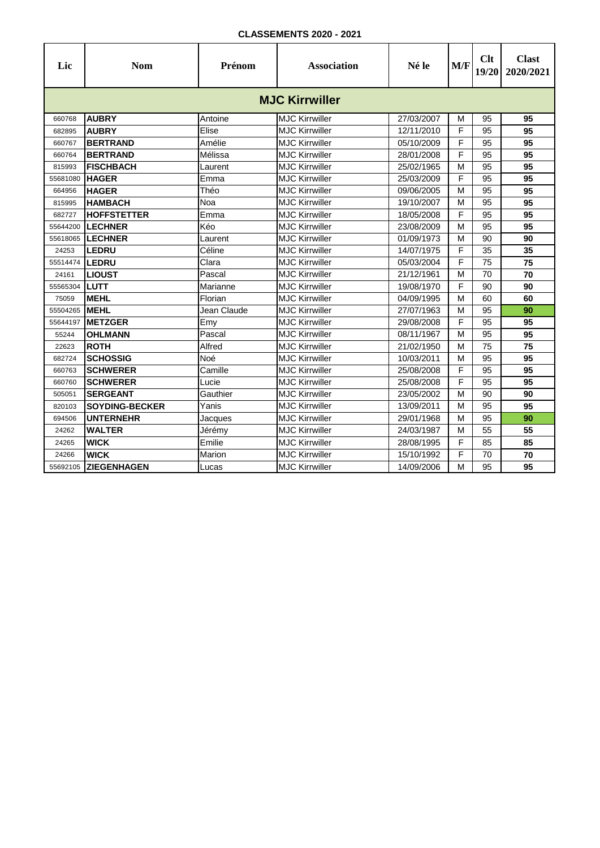| Lic      | <b>Nom</b>            | Prénom      | <b>Association</b>    | Né le      | M/F | Clt<br>19/20 | <b>Clast</b><br>2020/2021 |  |  |  |  |
|----------|-----------------------|-------------|-----------------------|------------|-----|--------------|---------------------------|--|--|--|--|
|          | <b>MJC Kirrwiller</b> |             |                       |            |     |              |                           |  |  |  |  |
| 660768   | <b>AUBRY</b>          | Antoine     | <b>MJC Kirrwiller</b> | 27/03/2007 | M   | 95           | 95                        |  |  |  |  |
| 682895   | <b>AUBRY</b>          | Elise       | <b>MJC Kirrwiller</b> | 12/11/2010 | F   | 95           | 95                        |  |  |  |  |
| 660767   | <b>BERTRAND</b>       | Amélie      | <b>MJC Kirrwiller</b> | 05/10/2009 | F   | 95           | 95                        |  |  |  |  |
| 660764   | <b>BERTRAND</b>       | Mélissa     | <b>MJC Kirrwiller</b> | 28/01/2008 | F   | 95           | 95                        |  |  |  |  |
| 815993   | <b>FISCHBACH</b>      | Laurent     | <b>MJC Kirrwiller</b> | 25/02/1965 | M   | 95           | 95                        |  |  |  |  |
| 55681080 | <b>HAGER</b>          | Emma        | <b>MJC Kirrwiller</b> | 25/03/2009 | F   | 95           | 95                        |  |  |  |  |
| 664956   | <b>HAGER</b>          | Théo        | <b>MJC Kirrwiller</b> | 09/06/2005 | M   | 95           | 95                        |  |  |  |  |
| 815995   | <b>HAMBACH</b>        | Noa         | <b>MJC Kirrwiller</b> | 19/10/2007 | M   | 95           | 95                        |  |  |  |  |
| 682727   | <b>HOFFSTETTER</b>    | Emma        | <b>MJC Kirrwiller</b> | 18/05/2008 | F   | 95           | 95                        |  |  |  |  |
| 55644200 | <b>LECHNER</b>        | Kéo         | <b>MJC Kirrwiller</b> | 23/08/2009 | M   | 95           | 95                        |  |  |  |  |
| 55618065 | <b>LECHNER</b>        | Laurent     | <b>MJC Kirrwiller</b> | 01/09/1973 | М   | 90           | 90                        |  |  |  |  |
| 24253    | <b>LEDRU</b>          | Céline      | <b>MJC Kirrwiller</b> | 14/07/1975 | F   | 35           | 35                        |  |  |  |  |
| 55514474 | <b>LEDRU</b>          | Clara       | <b>MJC Kirrwiller</b> | 05/03/2004 | F   | 75           | 75                        |  |  |  |  |
| 24161    | <b>LIOUST</b>         | Pascal      | <b>MJC Kirrwiller</b> | 21/12/1961 | M   | 70           | 70                        |  |  |  |  |
| 55565304 | <b>LUTT</b>           | Marianne    | <b>MJC Kirrwiller</b> | 19/08/1970 | F   | 90           | 90                        |  |  |  |  |
| 75059    | <b>MEHL</b>           | Florian     | <b>MJC Kirrwiller</b> | 04/09/1995 | M   | 60           | 60                        |  |  |  |  |
| 55504265 | <b>MEHL</b>           | Jean Claude | <b>MJC Kirrwiller</b> | 27/07/1963 | М   | 95           | 90                        |  |  |  |  |
| 55644197 | <b>METZGER</b>        | Emy         | <b>MJC Kirrwiller</b> | 29/08/2008 | F   | 95           | 95                        |  |  |  |  |
| 55244    | <b>OHLMANN</b>        | Pascal      | <b>MJC Kirrwiller</b> | 08/11/1967 | M   | 95           | 95                        |  |  |  |  |
| 22623    | <b>ROTH</b>           | Alfred      | <b>MJC Kirrwiller</b> | 21/02/1950 | M   | 75           | 75                        |  |  |  |  |
| 682724   | <b>SCHOSSIG</b>       | Noé         | <b>MJC Kirrwiller</b> | 10/03/2011 | M   | 95           | 95                        |  |  |  |  |
| 660763   | <b>SCHWERER</b>       | Camille     | <b>MJC Kirrwiller</b> | 25/08/2008 | F   | 95           | 95                        |  |  |  |  |
| 660760   | <b>SCHWERER</b>       | Lucie       | <b>MJC Kirrwiller</b> | 25/08/2008 | F   | 95           | 95                        |  |  |  |  |
| 505051   | <b>SERGEANT</b>       | Gauthier    | <b>MJC Kirrwiller</b> | 23/05/2002 | M   | 90           | 90                        |  |  |  |  |
| 820103   | <b>SOYDING-BECKER</b> | Yanis       | <b>MJC Kirrwiller</b> | 13/09/2011 | M   | 95           | 95                        |  |  |  |  |
| 694506   | <b>UNTERNEHR</b>      | Jacques     | <b>MJC Kirrwiller</b> | 29/01/1968 | М   | 95           | 90                        |  |  |  |  |
| 24262    | <b>WALTER</b>         | Jérémy      | <b>MJC Kirrwiller</b> | 24/03/1987 | M   | 55           | 55                        |  |  |  |  |
| 24265    | <b>WICK</b>           | Emilie      | <b>MJC Kirrwiller</b> | 28/08/1995 | F   | 85           | 85                        |  |  |  |  |
| 24266    | <b>WICK</b>           | Marion      | <b>MJC Kirrwiller</b> | 15/10/1992 | F   | 70           | 70                        |  |  |  |  |
| 55692105 | <b>ZIEGENHAGEN</b>    | Lucas       | <b>MJC Kirrwiller</b> | 14/09/2006 | M   | 95           | 95                        |  |  |  |  |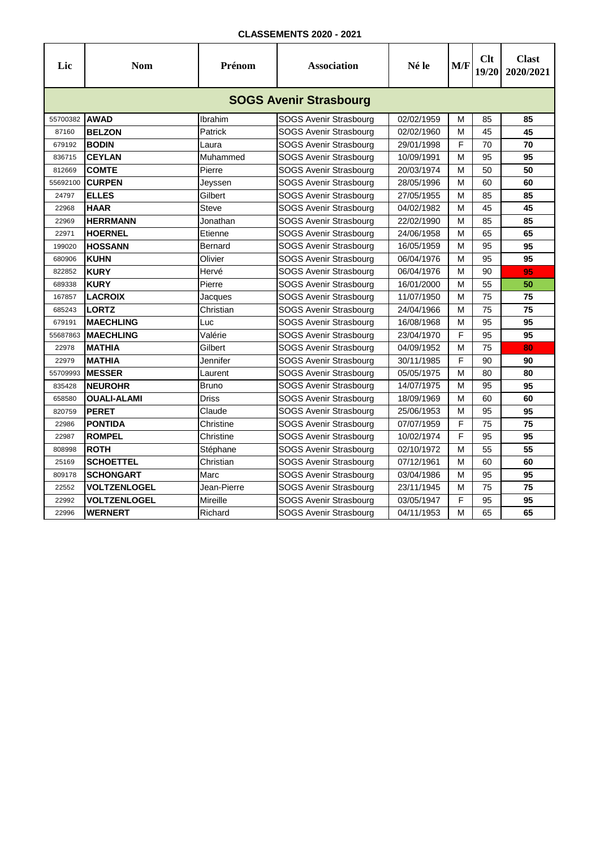| Lic      | <b>Nom</b>                    | Prénom       | <b>Association</b>            | Né le      | M/F | Clt<br>19/20 | <b>Clast</b><br>2020/2021 |  |  |  |  |
|----------|-------------------------------|--------------|-------------------------------|------------|-----|--------------|---------------------------|--|--|--|--|
|          | <b>SOGS Avenir Strasbourg</b> |              |                               |            |     |              |                           |  |  |  |  |
| 55700382 | <b>AWAD</b>                   | Ibrahim      | SOGS Avenir Strasbourg        | 02/02/1959 | М   | 85           | 85                        |  |  |  |  |
| 87160    | <b>BELZON</b>                 | Patrick      | <b>SOGS Avenir Strasbourg</b> | 02/02/1960 | M   | 45           | 45                        |  |  |  |  |
| 679192   | <b>BODIN</b>                  | Laura        | <b>SOGS Avenir Strasbourg</b> | 29/01/1998 | F   | 70           | 70                        |  |  |  |  |
| 836715   | <b>CEYLAN</b>                 | Muhammed     | SOGS Avenir Strasbourg        | 10/09/1991 | М   | 95           | 95                        |  |  |  |  |
| 812669   | <b>COMTE</b>                  | Pierre       | <b>SOGS Avenir Strasbourg</b> | 20/03/1974 | М   | 50           | 50                        |  |  |  |  |
| 55692100 | <b>CURPEN</b>                 | Jeyssen      | SOGS Avenir Strasbourg        | 28/05/1996 | М   | 60           | 60                        |  |  |  |  |
| 24797    | <b>ELLES</b>                  | Gilbert      | SOGS Avenir Strasbourg        | 27/05/1955 | М   | 85           | 85                        |  |  |  |  |
| 22968    | <b>HAAR</b>                   | Steve        | SOGS Avenir Strasbourg        | 04/02/1982 | М   | 45           | 45                        |  |  |  |  |
| 22969    | <b>HERRMANN</b>               | Jonathan     | SOGS Avenir Strasbourg        | 22/02/1990 | М   | 85           | 85                        |  |  |  |  |
| 22971    | <b>HOERNEL</b>                | Etienne      | SOGS Avenir Strasbourg        | 24/06/1958 | М   | 65           | 65                        |  |  |  |  |
| 199020   | <b>HOSSANN</b>                | Bernard      | <b>SOGS Avenir Strasbourg</b> | 16/05/1959 | М   | 95           | 95                        |  |  |  |  |
| 680906   | <b>KUHN</b>                   | Olivier      | SOGS Avenir Strasbourg        | 06/04/1976 | М   | 95           | 95                        |  |  |  |  |
| 822852   | <b>KURY</b>                   | Hervé        | SOGS Avenir Strasbourg        | 06/04/1976 | М   | 90           | 95                        |  |  |  |  |
| 689338   | <b>KURY</b>                   | Pierre       | <b>SOGS Avenir Strasbourg</b> | 16/01/2000 | М   | 55           | 50                        |  |  |  |  |
| 167857   | <b>LACROIX</b>                | Jacques      | SOGS Avenir Strasbourg        | 11/07/1950 | M   | 75           | 75                        |  |  |  |  |
| 685243   | <b>LORTZ</b>                  | Christian    | <b>SOGS Avenir Strasbourg</b> | 24/04/1966 | М   | 75           | 75                        |  |  |  |  |
| 679191   | <b>MAECHLING</b>              | Luc          | <b>SOGS Avenir Strasbourg</b> | 16/08/1968 | М   | 95           | 95                        |  |  |  |  |
| 55687863 | <b>MAECHLING</b>              | Valérie      | SOGS Avenir Strasbourg        | 23/04/1970 | F   | 95           | 95                        |  |  |  |  |
| 22978    | <b>MATHIA</b>                 | Gilbert      | <b>SOGS Avenir Strasbourg</b> | 04/09/1952 | M   | 75           | 80                        |  |  |  |  |
| 22979    | <b>MATHIA</b>                 | Jennifer     | <b>SOGS Avenir Strasbourg</b> | 30/11/1985 | F   | 90           | 90                        |  |  |  |  |
| 55709993 | <b>MESSER</b>                 | Laurent      | SOGS Avenir Strasbourg        | 05/05/1975 | M   | 80           | 80                        |  |  |  |  |
| 835428   | <b>NEUROHR</b>                | <b>Bruno</b> | SOGS Avenir Strasbourg        | 14/07/1975 | М   | 95           | 95                        |  |  |  |  |
| 658580   | <b>OUALI-ALAMI</b>            | <b>Driss</b> | SOGS Avenir Strasbourg        | 18/09/1969 | м   | 60           | 60                        |  |  |  |  |
| 820759   | <b>PERET</b>                  | Claude       | SOGS Avenir Strasbourg        | 25/06/1953 | M   | 95           | 95                        |  |  |  |  |
| 22986    | <b>PONTIDA</b>                | Christine    | SOGS Avenir Strasbourg        | 07/07/1959 | F   | 75           | 75                        |  |  |  |  |
| 22987    | <b>ROMPEL</b>                 | Christine    | SOGS Avenir Strasbourg        | 10/02/1974 | F   | 95           | 95                        |  |  |  |  |
| 808998   | <b>ROTH</b>                   | Stéphane     | SOGS Avenir Strasbourg        | 02/10/1972 | M   | 55           | 55                        |  |  |  |  |
| 25169    | <b>SCHOETTEL</b>              | Christian    | SOGS Avenir Strasbourg        | 07/12/1961 | М   | 60           | 60                        |  |  |  |  |
| 809178   | <b>SCHONGART</b>              | Marc         | SOGS Avenir Strasbourg        | 03/04/1986 | М   | 95           | 95                        |  |  |  |  |
| 22552    | <b>VOLTZENLOGEL</b>           | Jean-Pierre  | SOGS Avenir Strasbourg        | 23/11/1945 | М   | 75           | 75                        |  |  |  |  |
| 22992    | <b>VOLTZENLOGEL</b>           | Mireille     | SOGS Avenir Strasbourg        | 03/05/1947 | F   | 95           | 95                        |  |  |  |  |
| 22996    | <b>WERNERT</b>                | Richard      | SOGS Avenir Strasbourg        | 04/11/1953 | М   | 65           | 65                        |  |  |  |  |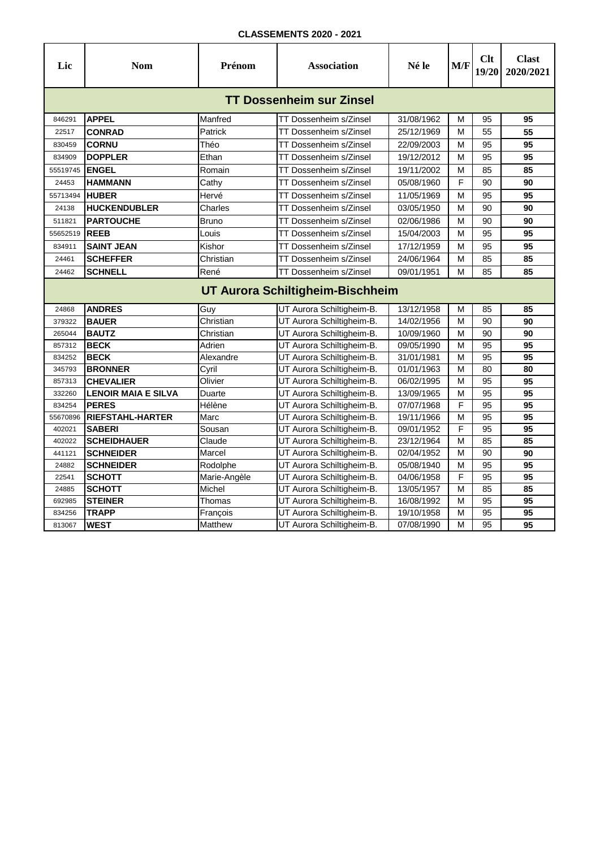| <b>TT Dossenheim sur Zinsel</b><br><b>APPEL</b><br>Manfred<br>31/08/1962<br>846291<br>TT Dossenheim s/Zinsel<br>М<br>95<br>95<br><b>CONRAD</b><br>Patrick<br>TT Dossenheim s/Zinsel<br>25/12/1969<br>55<br>22517<br>М<br>55<br><b>CORNU</b><br>Théo<br>TT Dossenheim s/Zinsel<br>95<br>95<br>830459<br>22/09/2003<br>М<br><b>DOPPLER</b><br>Ethan<br>95<br>95<br>834909<br>TT Dossenheim s/Zinsel<br>19/12/2012<br>М<br>19/11/2002<br>M<br>85<br>85<br><b>ENGEL</b><br>Romain<br>TT Dossenheim s/Zinsel<br>55519745<br>F<br><b>HAMMANN</b><br>90<br>90<br>TT Dossenheim s/Zinsel<br>05/08/1960<br>24453<br>Cathy<br>M<br>95<br>95<br><b>HUBER</b><br>11/05/1969<br>55713494<br>Hervé<br>TT Dossenheim s/Zinsel<br><b>HUCKENDUBLER</b><br>90<br>90<br>Charles<br>03/05/1950<br>M<br>24138<br>TT Dossenheim s/Zinsel<br>90<br><b>PARTOUCHE</b><br>M<br>90<br>511821<br>TT Dossenheim s/Zinsel<br>02/06/1986<br>Bruno<br>95<br><b>REEB</b><br>15/04/2003<br>M<br>95<br>55652519<br>Louis<br>TT Dossenheim s/Zinsel<br>Kishor<br>95<br>95<br><b>SAINT JEAN</b><br>TT Dossenheim s/Zinsel<br>17/12/1959<br>M<br>834911<br>85<br><b>SCHEFFER</b><br>85<br>Christian<br>TT Dossenheim s/Zinsel<br>24/06/1964<br>М<br>24461<br>René<br>M<br>85<br>24462<br><b>SCHNELL</b><br>TT Dossenheim s/Zinsel<br>09/01/1951<br>85<br>UT Aurora Schiltigheim-Bischheim<br>Guy<br><b>ANDRES</b><br>UT Aurora Schiltigheim-B.<br>13/12/1958<br>M<br>85<br>85<br>24868<br><b>BAUER</b><br>Christian<br>UT Aurora Schiltigheim-B.<br>14/02/1956<br>M<br>90<br>90<br>379322<br><b>BAUTZ</b><br>Christian<br>90<br>90<br>265044<br>UT Aurora Schiltigheim-B.<br>10/09/1960<br>М<br>95<br>Adrien<br>M<br>95<br><b>BECK</b><br>UT Aurora Schiltigheim-B.<br>09/05/1990<br>857312<br>95<br>95<br><b>BECK</b><br>Alexandre<br>31/01/1981<br>M<br>834252<br>UT Aurora Schiltigheim-B.<br><b>BRONNER</b><br>Cyril<br>UT Aurora Schiltigheim-B.<br>01/01/1963<br>M<br>80<br>80<br>345793<br>95<br><b>CHEVALIER</b><br>Olivier<br>UT Aurora Schiltigheim-B.<br>06/02/1995<br>95<br>857313<br>M<br>UT Aurora Schiltigheim-B.<br>M<br>95<br>95<br><b>LENOIR MAIA E SILVA</b><br>Duarte<br>13/09/1965<br>332260<br>F<br><b>PERES</b><br>Hélène<br>UT Aurora Schiltigheim-B.<br>07/07/1968<br>95<br>95<br>834254<br><b>RIEFSTAHL-HARTER</b><br>M<br>95<br>Marc<br>UT Aurora Schiltigheim-B.<br>95<br>55670896<br>19/11/1966<br>F<br>95<br>95<br><b>SABERI</b><br>Sousan<br>UT Aurora Schiltigheim-B.<br>09/01/1952<br>402021<br>85<br><b>SCHEIDHAUER</b><br>M<br>85<br>Claude<br>UT Aurora Schiltigheim-B.<br>23/12/1964<br>402022<br><b>SCHNEIDER</b><br>90<br>90<br>441121<br>UT Aurora Schiltigheim-B.<br>02/04/1952<br>Marcel<br>M<br>95<br><b>SCHNEIDER</b><br>Rodolphe<br>UT Aurora Schiltigheim-B.<br>05/08/1940<br>M<br>95<br>24882<br><b>SCHOTT</b><br>F<br>95<br>95<br>Marie-Angèle<br>UT Aurora Schiltigheim-B.<br>04/06/1958<br>22541<br>Michel<br>M<br>85<br>85<br>24885<br><b>SCHOTT</b><br>UT Aurora Schiltigheim-B.<br>13/05/1957<br>Thomas<br>M<br>95<br>95<br><b>STEINER</b><br>UT Aurora Schiltigheim-B.<br>16/08/1992<br>692985<br>95<br>95<br><b>TRAPP</b><br>19/10/1958<br>M<br>UT Aurora Schiltigheim-B.<br>834256<br>François<br><b>WEST</b><br>95<br>95<br>813067<br>Matthew<br>UT Aurora Schiltigheim-B.<br>07/08/1990<br>M | Lic | <b>Nom</b> | Prénom | <b>Association</b> | Né le | M/F | Clt<br>19/20 | <b>Clast</b><br>2020/2021 |  |  |  |  |
|------------------------------------------------------------------------------------------------------------------------------------------------------------------------------------------------------------------------------------------------------------------------------------------------------------------------------------------------------------------------------------------------------------------------------------------------------------------------------------------------------------------------------------------------------------------------------------------------------------------------------------------------------------------------------------------------------------------------------------------------------------------------------------------------------------------------------------------------------------------------------------------------------------------------------------------------------------------------------------------------------------------------------------------------------------------------------------------------------------------------------------------------------------------------------------------------------------------------------------------------------------------------------------------------------------------------------------------------------------------------------------------------------------------------------------------------------------------------------------------------------------------------------------------------------------------------------------------------------------------------------------------------------------------------------------------------------------------------------------------------------------------------------------------------------------------------------------------------------------------------------------------------------------------------------------------------------------------------------------------------------------------------------------------------------------------------------------------------------------------------------------------------------------------------------------------------------------------------------------------------------------------------------------------------------------------------------------------------------------------------------------------------------------------------------------------------------------------------------------------------------------------------------------------------------------------------------------------------------------------------------------------------------------------------------------------------------------------------------------------------------------------------------------------------------------------------------------------------------------------------------------------------------------------------------------------------------------------------------------------------------------------------------------------------------------------------------------------------------------------------------------------------------------------------------------------------------------------------------------------------------------------------------------------------------------------|-----|------------|--------|--------------------|-------|-----|--------------|---------------------------|--|--|--|--|
|                                                                                                                                                                                                                                                                                                                                                                                                                                                                                                                                                                                                                                                                                                                                                                                                                                                                                                                                                                                                                                                                                                                                                                                                                                                                                                                                                                                                                                                                                                                                                                                                                                                                                                                                                                                                                                                                                                                                                                                                                                                                                                                                                                                                                                                                                                                                                                                                                                                                                                                                                                                                                                                                                                                                                                                                                                                                                                                                                                                                                                                                                                                                                                                                                                                                                                                  |     |            |        |                    |       |     |              |                           |  |  |  |  |
|                                                                                                                                                                                                                                                                                                                                                                                                                                                                                                                                                                                                                                                                                                                                                                                                                                                                                                                                                                                                                                                                                                                                                                                                                                                                                                                                                                                                                                                                                                                                                                                                                                                                                                                                                                                                                                                                                                                                                                                                                                                                                                                                                                                                                                                                                                                                                                                                                                                                                                                                                                                                                                                                                                                                                                                                                                                                                                                                                                                                                                                                                                                                                                                                                                                                                                                  |     |            |        |                    |       |     |              |                           |  |  |  |  |
|                                                                                                                                                                                                                                                                                                                                                                                                                                                                                                                                                                                                                                                                                                                                                                                                                                                                                                                                                                                                                                                                                                                                                                                                                                                                                                                                                                                                                                                                                                                                                                                                                                                                                                                                                                                                                                                                                                                                                                                                                                                                                                                                                                                                                                                                                                                                                                                                                                                                                                                                                                                                                                                                                                                                                                                                                                                                                                                                                                                                                                                                                                                                                                                                                                                                                                                  |     |            |        |                    |       |     |              |                           |  |  |  |  |
|                                                                                                                                                                                                                                                                                                                                                                                                                                                                                                                                                                                                                                                                                                                                                                                                                                                                                                                                                                                                                                                                                                                                                                                                                                                                                                                                                                                                                                                                                                                                                                                                                                                                                                                                                                                                                                                                                                                                                                                                                                                                                                                                                                                                                                                                                                                                                                                                                                                                                                                                                                                                                                                                                                                                                                                                                                                                                                                                                                                                                                                                                                                                                                                                                                                                                                                  |     |            |        |                    |       |     |              |                           |  |  |  |  |
|                                                                                                                                                                                                                                                                                                                                                                                                                                                                                                                                                                                                                                                                                                                                                                                                                                                                                                                                                                                                                                                                                                                                                                                                                                                                                                                                                                                                                                                                                                                                                                                                                                                                                                                                                                                                                                                                                                                                                                                                                                                                                                                                                                                                                                                                                                                                                                                                                                                                                                                                                                                                                                                                                                                                                                                                                                                                                                                                                                                                                                                                                                                                                                                                                                                                                                                  |     |            |        |                    |       |     |              |                           |  |  |  |  |
|                                                                                                                                                                                                                                                                                                                                                                                                                                                                                                                                                                                                                                                                                                                                                                                                                                                                                                                                                                                                                                                                                                                                                                                                                                                                                                                                                                                                                                                                                                                                                                                                                                                                                                                                                                                                                                                                                                                                                                                                                                                                                                                                                                                                                                                                                                                                                                                                                                                                                                                                                                                                                                                                                                                                                                                                                                                                                                                                                                                                                                                                                                                                                                                                                                                                                                                  |     |            |        |                    |       |     |              |                           |  |  |  |  |
|                                                                                                                                                                                                                                                                                                                                                                                                                                                                                                                                                                                                                                                                                                                                                                                                                                                                                                                                                                                                                                                                                                                                                                                                                                                                                                                                                                                                                                                                                                                                                                                                                                                                                                                                                                                                                                                                                                                                                                                                                                                                                                                                                                                                                                                                                                                                                                                                                                                                                                                                                                                                                                                                                                                                                                                                                                                                                                                                                                                                                                                                                                                                                                                                                                                                                                                  |     |            |        |                    |       |     |              |                           |  |  |  |  |
|                                                                                                                                                                                                                                                                                                                                                                                                                                                                                                                                                                                                                                                                                                                                                                                                                                                                                                                                                                                                                                                                                                                                                                                                                                                                                                                                                                                                                                                                                                                                                                                                                                                                                                                                                                                                                                                                                                                                                                                                                                                                                                                                                                                                                                                                                                                                                                                                                                                                                                                                                                                                                                                                                                                                                                                                                                                                                                                                                                                                                                                                                                                                                                                                                                                                                                                  |     |            |        |                    |       |     |              |                           |  |  |  |  |
|                                                                                                                                                                                                                                                                                                                                                                                                                                                                                                                                                                                                                                                                                                                                                                                                                                                                                                                                                                                                                                                                                                                                                                                                                                                                                                                                                                                                                                                                                                                                                                                                                                                                                                                                                                                                                                                                                                                                                                                                                                                                                                                                                                                                                                                                                                                                                                                                                                                                                                                                                                                                                                                                                                                                                                                                                                                                                                                                                                                                                                                                                                                                                                                                                                                                                                                  |     |            |        |                    |       |     |              |                           |  |  |  |  |
|                                                                                                                                                                                                                                                                                                                                                                                                                                                                                                                                                                                                                                                                                                                                                                                                                                                                                                                                                                                                                                                                                                                                                                                                                                                                                                                                                                                                                                                                                                                                                                                                                                                                                                                                                                                                                                                                                                                                                                                                                                                                                                                                                                                                                                                                                                                                                                                                                                                                                                                                                                                                                                                                                                                                                                                                                                                                                                                                                                                                                                                                                                                                                                                                                                                                                                                  |     |            |        |                    |       |     |              |                           |  |  |  |  |
|                                                                                                                                                                                                                                                                                                                                                                                                                                                                                                                                                                                                                                                                                                                                                                                                                                                                                                                                                                                                                                                                                                                                                                                                                                                                                                                                                                                                                                                                                                                                                                                                                                                                                                                                                                                                                                                                                                                                                                                                                                                                                                                                                                                                                                                                                                                                                                                                                                                                                                                                                                                                                                                                                                                                                                                                                                                                                                                                                                                                                                                                                                                                                                                                                                                                                                                  |     |            |        |                    |       |     |              |                           |  |  |  |  |
|                                                                                                                                                                                                                                                                                                                                                                                                                                                                                                                                                                                                                                                                                                                                                                                                                                                                                                                                                                                                                                                                                                                                                                                                                                                                                                                                                                                                                                                                                                                                                                                                                                                                                                                                                                                                                                                                                                                                                                                                                                                                                                                                                                                                                                                                                                                                                                                                                                                                                                                                                                                                                                                                                                                                                                                                                                                                                                                                                                                                                                                                                                                                                                                                                                                                                                                  |     |            |        |                    |       |     |              |                           |  |  |  |  |
|                                                                                                                                                                                                                                                                                                                                                                                                                                                                                                                                                                                                                                                                                                                                                                                                                                                                                                                                                                                                                                                                                                                                                                                                                                                                                                                                                                                                                                                                                                                                                                                                                                                                                                                                                                                                                                                                                                                                                                                                                                                                                                                                                                                                                                                                                                                                                                                                                                                                                                                                                                                                                                                                                                                                                                                                                                                                                                                                                                                                                                                                                                                                                                                                                                                                                                                  |     |            |        |                    |       |     |              |                           |  |  |  |  |
|                                                                                                                                                                                                                                                                                                                                                                                                                                                                                                                                                                                                                                                                                                                                                                                                                                                                                                                                                                                                                                                                                                                                                                                                                                                                                                                                                                                                                                                                                                                                                                                                                                                                                                                                                                                                                                                                                                                                                                                                                                                                                                                                                                                                                                                                                                                                                                                                                                                                                                                                                                                                                                                                                                                                                                                                                                                                                                                                                                                                                                                                                                                                                                                                                                                                                                                  |     |            |        |                    |       |     |              |                           |  |  |  |  |
|                                                                                                                                                                                                                                                                                                                                                                                                                                                                                                                                                                                                                                                                                                                                                                                                                                                                                                                                                                                                                                                                                                                                                                                                                                                                                                                                                                                                                                                                                                                                                                                                                                                                                                                                                                                                                                                                                                                                                                                                                                                                                                                                                                                                                                                                                                                                                                                                                                                                                                                                                                                                                                                                                                                                                                                                                                                                                                                                                                                                                                                                                                                                                                                                                                                                                                                  |     |            |        |                    |       |     |              |                           |  |  |  |  |
|                                                                                                                                                                                                                                                                                                                                                                                                                                                                                                                                                                                                                                                                                                                                                                                                                                                                                                                                                                                                                                                                                                                                                                                                                                                                                                                                                                                                                                                                                                                                                                                                                                                                                                                                                                                                                                                                                                                                                                                                                                                                                                                                                                                                                                                                                                                                                                                                                                                                                                                                                                                                                                                                                                                                                                                                                                                                                                                                                                                                                                                                                                                                                                                                                                                                                                                  |     |            |        |                    |       |     |              |                           |  |  |  |  |
|                                                                                                                                                                                                                                                                                                                                                                                                                                                                                                                                                                                                                                                                                                                                                                                                                                                                                                                                                                                                                                                                                                                                                                                                                                                                                                                                                                                                                                                                                                                                                                                                                                                                                                                                                                                                                                                                                                                                                                                                                                                                                                                                                                                                                                                                                                                                                                                                                                                                                                                                                                                                                                                                                                                                                                                                                                                                                                                                                                                                                                                                                                                                                                                                                                                                                                                  |     |            |        |                    |       |     |              |                           |  |  |  |  |
|                                                                                                                                                                                                                                                                                                                                                                                                                                                                                                                                                                                                                                                                                                                                                                                                                                                                                                                                                                                                                                                                                                                                                                                                                                                                                                                                                                                                                                                                                                                                                                                                                                                                                                                                                                                                                                                                                                                                                                                                                                                                                                                                                                                                                                                                                                                                                                                                                                                                                                                                                                                                                                                                                                                                                                                                                                                                                                                                                                                                                                                                                                                                                                                                                                                                                                                  |     |            |        |                    |       |     |              |                           |  |  |  |  |
|                                                                                                                                                                                                                                                                                                                                                                                                                                                                                                                                                                                                                                                                                                                                                                                                                                                                                                                                                                                                                                                                                                                                                                                                                                                                                                                                                                                                                                                                                                                                                                                                                                                                                                                                                                                                                                                                                                                                                                                                                                                                                                                                                                                                                                                                                                                                                                                                                                                                                                                                                                                                                                                                                                                                                                                                                                                                                                                                                                                                                                                                                                                                                                                                                                                                                                                  |     |            |        |                    |       |     |              |                           |  |  |  |  |
|                                                                                                                                                                                                                                                                                                                                                                                                                                                                                                                                                                                                                                                                                                                                                                                                                                                                                                                                                                                                                                                                                                                                                                                                                                                                                                                                                                                                                                                                                                                                                                                                                                                                                                                                                                                                                                                                                                                                                                                                                                                                                                                                                                                                                                                                                                                                                                                                                                                                                                                                                                                                                                                                                                                                                                                                                                                                                                                                                                                                                                                                                                                                                                                                                                                                                                                  |     |            |        |                    |       |     |              |                           |  |  |  |  |
|                                                                                                                                                                                                                                                                                                                                                                                                                                                                                                                                                                                                                                                                                                                                                                                                                                                                                                                                                                                                                                                                                                                                                                                                                                                                                                                                                                                                                                                                                                                                                                                                                                                                                                                                                                                                                                                                                                                                                                                                                                                                                                                                                                                                                                                                                                                                                                                                                                                                                                                                                                                                                                                                                                                                                                                                                                                                                                                                                                                                                                                                                                                                                                                                                                                                                                                  |     |            |        |                    |       |     |              |                           |  |  |  |  |
|                                                                                                                                                                                                                                                                                                                                                                                                                                                                                                                                                                                                                                                                                                                                                                                                                                                                                                                                                                                                                                                                                                                                                                                                                                                                                                                                                                                                                                                                                                                                                                                                                                                                                                                                                                                                                                                                                                                                                                                                                                                                                                                                                                                                                                                                                                                                                                                                                                                                                                                                                                                                                                                                                                                                                                                                                                                                                                                                                                                                                                                                                                                                                                                                                                                                                                                  |     |            |        |                    |       |     |              |                           |  |  |  |  |
|                                                                                                                                                                                                                                                                                                                                                                                                                                                                                                                                                                                                                                                                                                                                                                                                                                                                                                                                                                                                                                                                                                                                                                                                                                                                                                                                                                                                                                                                                                                                                                                                                                                                                                                                                                                                                                                                                                                                                                                                                                                                                                                                                                                                                                                                                                                                                                                                                                                                                                                                                                                                                                                                                                                                                                                                                                                                                                                                                                                                                                                                                                                                                                                                                                                                                                                  |     |            |        |                    |       |     |              |                           |  |  |  |  |
|                                                                                                                                                                                                                                                                                                                                                                                                                                                                                                                                                                                                                                                                                                                                                                                                                                                                                                                                                                                                                                                                                                                                                                                                                                                                                                                                                                                                                                                                                                                                                                                                                                                                                                                                                                                                                                                                                                                                                                                                                                                                                                                                                                                                                                                                                                                                                                                                                                                                                                                                                                                                                                                                                                                                                                                                                                                                                                                                                                                                                                                                                                                                                                                                                                                                                                                  |     |            |        |                    |       |     |              |                           |  |  |  |  |
|                                                                                                                                                                                                                                                                                                                                                                                                                                                                                                                                                                                                                                                                                                                                                                                                                                                                                                                                                                                                                                                                                                                                                                                                                                                                                                                                                                                                                                                                                                                                                                                                                                                                                                                                                                                                                                                                                                                                                                                                                                                                                                                                                                                                                                                                                                                                                                                                                                                                                                                                                                                                                                                                                                                                                                                                                                                                                                                                                                                                                                                                                                                                                                                                                                                                                                                  |     |            |        |                    |       |     |              |                           |  |  |  |  |
|                                                                                                                                                                                                                                                                                                                                                                                                                                                                                                                                                                                                                                                                                                                                                                                                                                                                                                                                                                                                                                                                                                                                                                                                                                                                                                                                                                                                                                                                                                                                                                                                                                                                                                                                                                                                                                                                                                                                                                                                                                                                                                                                                                                                                                                                                                                                                                                                                                                                                                                                                                                                                                                                                                                                                                                                                                                                                                                                                                                                                                                                                                                                                                                                                                                                                                                  |     |            |        |                    |       |     |              |                           |  |  |  |  |
|                                                                                                                                                                                                                                                                                                                                                                                                                                                                                                                                                                                                                                                                                                                                                                                                                                                                                                                                                                                                                                                                                                                                                                                                                                                                                                                                                                                                                                                                                                                                                                                                                                                                                                                                                                                                                                                                                                                                                                                                                                                                                                                                                                                                                                                                                                                                                                                                                                                                                                                                                                                                                                                                                                                                                                                                                                                                                                                                                                                                                                                                                                                                                                                                                                                                                                                  |     |            |        |                    |       |     |              |                           |  |  |  |  |
|                                                                                                                                                                                                                                                                                                                                                                                                                                                                                                                                                                                                                                                                                                                                                                                                                                                                                                                                                                                                                                                                                                                                                                                                                                                                                                                                                                                                                                                                                                                                                                                                                                                                                                                                                                                                                                                                                                                                                                                                                                                                                                                                                                                                                                                                                                                                                                                                                                                                                                                                                                                                                                                                                                                                                                                                                                                                                                                                                                                                                                                                                                                                                                                                                                                                                                                  |     |            |        |                    |       |     |              |                           |  |  |  |  |
|                                                                                                                                                                                                                                                                                                                                                                                                                                                                                                                                                                                                                                                                                                                                                                                                                                                                                                                                                                                                                                                                                                                                                                                                                                                                                                                                                                                                                                                                                                                                                                                                                                                                                                                                                                                                                                                                                                                                                                                                                                                                                                                                                                                                                                                                                                                                                                                                                                                                                                                                                                                                                                                                                                                                                                                                                                                                                                                                                                                                                                                                                                                                                                                                                                                                                                                  |     |            |        |                    |       |     |              |                           |  |  |  |  |
|                                                                                                                                                                                                                                                                                                                                                                                                                                                                                                                                                                                                                                                                                                                                                                                                                                                                                                                                                                                                                                                                                                                                                                                                                                                                                                                                                                                                                                                                                                                                                                                                                                                                                                                                                                                                                                                                                                                                                                                                                                                                                                                                                                                                                                                                                                                                                                                                                                                                                                                                                                                                                                                                                                                                                                                                                                                                                                                                                                                                                                                                                                                                                                                                                                                                                                                  |     |            |        |                    |       |     |              |                           |  |  |  |  |
|                                                                                                                                                                                                                                                                                                                                                                                                                                                                                                                                                                                                                                                                                                                                                                                                                                                                                                                                                                                                                                                                                                                                                                                                                                                                                                                                                                                                                                                                                                                                                                                                                                                                                                                                                                                                                                                                                                                                                                                                                                                                                                                                                                                                                                                                                                                                                                                                                                                                                                                                                                                                                                                                                                                                                                                                                                                                                                                                                                                                                                                                                                                                                                                                                                                                                                                  |     |            |        |                    |       |     |              |                           |  |  |  |  |
|                                                                                                                                                                                                                                                                                                                                                                                                                                                                                                                                                                                                                                                                                                                                                                                                                                                                                                                                                                                                                                                                                                                                                                                                                                                                                                                                                                                                                                                                                                                                                                                                                                                                                                                                                                                                                                                                                                                                                                                                                                                                                                                                                                                                                                                                                                                                                                                                                                                                                                                                                                                                                                                                                                                                                                                                                                                                                                                                                                                                                                                                                                                                                                                                                                                                                                                  |     |            |        |                    |       |     |              |                           |  |  |  |  |
|                                                                                                                                                                                                                                                                                                                                                                                                                                                                                                                                                                                                                                                                                                                                                                                                                                                                                                                                                                                                                                                                                                                                                                                                                                                                                                                                                                                                                                                                                                                                                                                                                                                                                                                                                                                                                                                                                                                                                                                                                                                                                                                                                                                                                                                                                                                                                                                                                                                                                                                                                                                                                                                                                                                                                                                                                                                                                                                                                                                                                                                                                                                                                                                                                                                                                                                  |     |            |        |                    |       |     |              |                           |  |  |  |  |